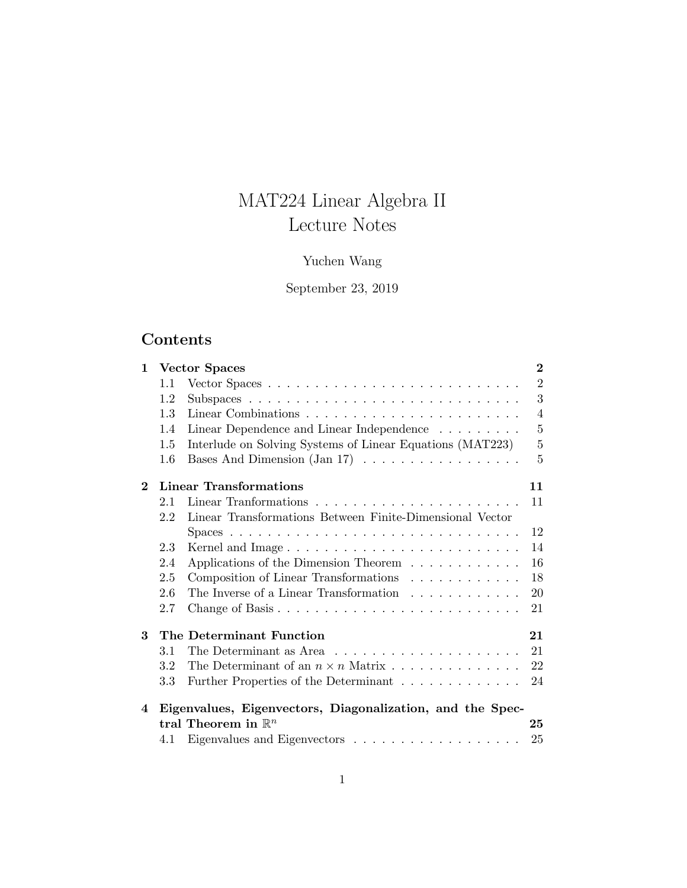# MAT224 Linear Algebra II Lecture Notes

# Yuchen Wang

# September 23, 2019

# Contents

| $\mathbf{1}$ |         | <b>Vector Spaces</b>                                                | $\overline{2}$ |
|--------------|---------|---------------------------------------------------------------------|----------------|
|              | 1.1     |                                                                     | $\overline{2}$ |
|              | 1.2     |                                                                     | 3              |
|              | 1.3     |                                                                     | $\overline{4}$ |
|              | 1.4     | Linear Dependence and Linear Independence $\ldots \ldots \ldots$    | $\overline{5}$ |
|              | 1.5     | Interlude on Solving Systems of Linear Equations (MAT223)           | $\overline{5}$ |
|              | 1.6     | Bases And Dimension $(Jan 17) \ldots \ldots \ldots \ldots \ldots$   | $\overline{5}$ |
| $\mathbf 2$  |         | Linear Transformations                                              | 11             |
|              | 2.1     |                                                                     | 11             |
|              | 2.2     | Linear Transformations Between Finite-Dimensional Vector            |                |
|              |         |                                                                     | 12             |
|              | 2.3     | Kernel and Image                                                    | 14             |
|              | 2.4     | Applications of the Dimension Theorem                               | 16             |
|              | 2.5     | Composition of Linear Transformations                               | 18             |
|              | 2.6     | The Inverse of a Linear Transformation                              | 20             |
|              | 2.7     |                                                                     | 21             |
| 3            |         | The Determinant Function                                            | 21             |
|              | 3.1     | The Determinant as Area $\dots \dots \dots \dots \dots \dots \dots$ | 21             |
|              | 3.2     |                                                                     | 22             |
|              | $3.3\,$ | Further Properties of the Determinant                               | 24             |
| 4            |         | Eigenvalues, Eigenvectors, Diagonalization, and the Spec-           |                |
|              |         | tral Theorem in $\mathbb{R}^n$                                      | 25             |
|              | 4.1     |                                                                     | 25             |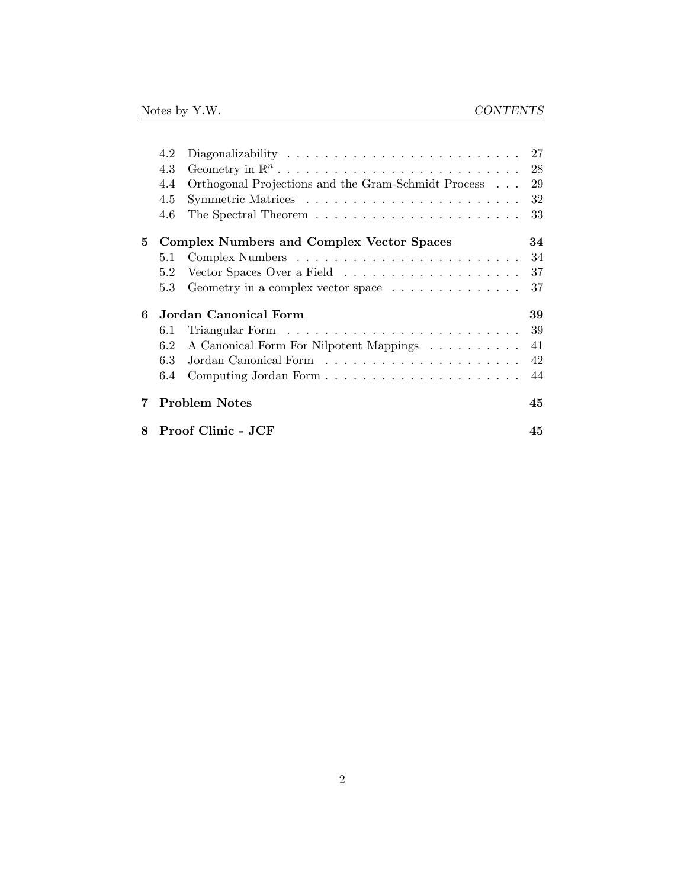|   | 4.2 | Diagonalizability $\dots \dots \dots \dots \dots \dots \dots \dots \dots$    | 27 |
|---|-----|------------------------------------------------------------------------------|----|
|   | 4.3 |                                                                              | 28 |
|   | 4.4 | Orthogonal Projections and the Gram-Schmidt Process                          | 29 |
|   | 4.5 |                                                                              | 32 |
|   | 4.6 |                                                                              | 33 |
| 5 |     | <b>Complex Numbers and Complex Vector Spaces</b>                             | 34 |
|   | 5.1 |                                                                              | 34 |
|   | 5.2 | Vector Spaces Over a Field $\ldots \ldots \ldots \ldots \ldots \ldots$       | 37 |
|   | 5.3 | Geometry in a complex vector space $\dots \dots \dots \dots$                 | 37 |
| 6 |     | Jordan Canonical Form                                                        | 39 |
|   | 6.1 | Triangular Form $\ldots \ldots \ldots \ldots \ldots \ldots \ldots \ldots$ 39 |    |
|   | 6.2 | A Canonical Form For Nilpotent Mappings                                      | 41 |
|   | 6.3 |                                                                              | 42 |
|   | 6.4 |                                                                              | 44 |
| 7 |     | <b>Problem Notes</b>                                                         | 45 |
| 8 |     | Proof Clinic - JCF                                                           | 45 |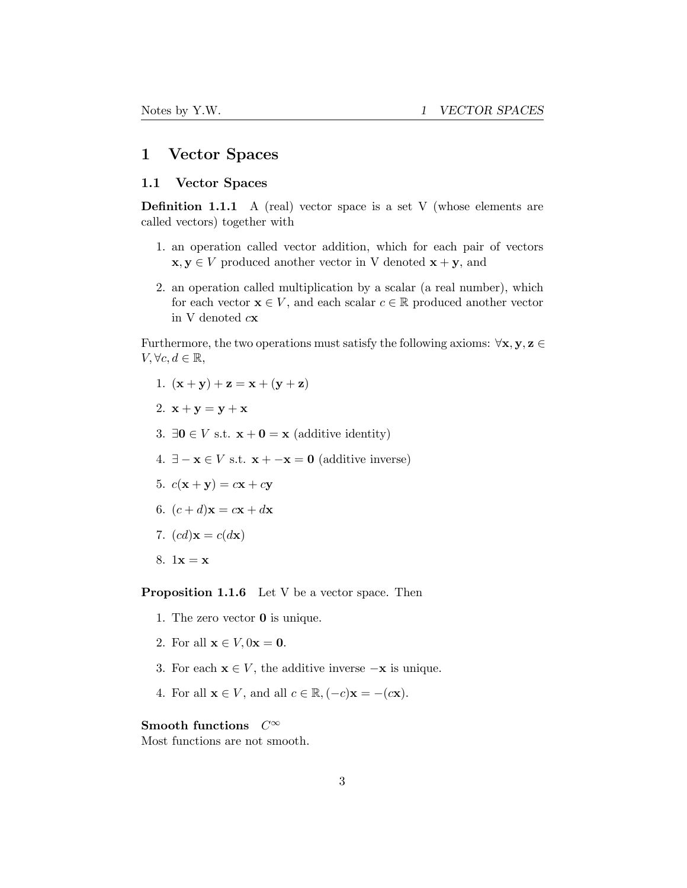# <span id="page-2-0"></span>1 Vector Spaces

### <span id="page-2-1"></span>1.1 Vector Spaces

**Definition 1.1.1** A (real) vector space is a set V (whose elements are called vectors) together with

- 1. an operation called vector addition, which for each pair of vectors  $x, y \in V$  produced another vector in V denoted  $x + y$ , and
- 2. an operation called multiplication by a scalar (a real number), which for each vector  $\mathbf{x} \in V$ , and each scalar  $c \in \mathbb{R}$  produced another vector in V denoted *c*x

Furthermore, the two operations must satisfy the following axioms: ∀x*,* y*,* z ∈ *V*,  $∀c, d ∈ ℝ$ ,

- 1.  $(x + y) + z = x + (y + z)$
- 2.  $\mathbf{x} + \mathbf{y} = \mathbf{y} + \mathbf{x}$
- 3. ∃**0** ∈ *V* s.t.  $\mathbf{x} + \mathbf{0} = \mathbf{x}$  (additive identity)
- 4.  $∃ x ∈ V$  s.t.  $x + -x = 0$  (additive inverse)
- 5.  $c(x + y) = cx + cy$
- 6.  $(c+d)\mathbf{x} = c\mathbf{x} + d\mathbf{x}$
- 7.  $(cd){\bf x}=c(d{\bf x})$
- 8.  $1x = x$

Proposition 1.1.6 Let V be a vector space. Then

- 1. The zero vector 0 is unique.
- 2. For all  $\mathbf{x} \in V$ ,  $0\mathbf{x} = \mathbf{0}$ .
- 3. For each  $\mathbf{x} \in V$ , the additive inverse  $-\mathbf{x}$  is unique.
- 4. For all  $\mathbf{x} \in V$ , and all  $c \in \mathbb{R}, (-c)\mathbf{x} = -(c\mathbf{x})$ .

### Smooth functions *C*∞

Most functions are not smooth.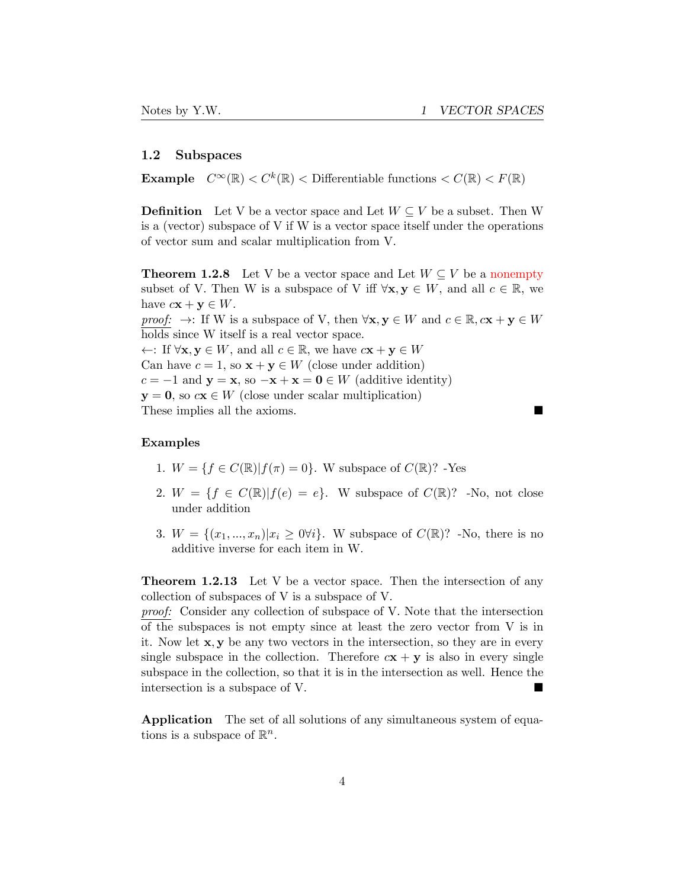### <span id="page-3-0"></span>1.2 Subspaces

**Example**  $C^{\infty}(\mathbb{R}) < C^k(\mathbb{R}) <$  Differentiable functions  $\langle C(\mathbb{R}) \rangle < F(\mathbb{R})$ 

**Definition** Let V be a vector space and Let  $W \subseteq V$  be a subset. Then W is a (vector) subspace of V if W is a vector space itself under the operations of vector sum and scalar multiplication from V.

**Theorem 1.2.8** Let V be a vector space and Let  $W \subseteq V$  be a nonempty subset of V. Then W is a subspace of V iff  $\forall x, y \in W$ , and all  $c \in \mathbb{R}$ , we have  $c\mathbf{x} + \mathbf{y} \in W$ .

*proof:*  $\rightarrow$ : If W is a subspace of V, then  $\forall x, y \in W$  and  $c \in \mathbb{R}, c\mathbf{x} + \mathbf{y} \in W$ holds since W itself is a real vector space.

←: If  $\forall$ **x**,  $y \in W$ , and all  $c \in \mathbb{R}$ , we have  $c$ **x** + **y**  $\in W$ Can have  $c = 1$ , so  $\mathbf{x} + \mathbf{y} \in W$  (close under addition)  $c = -1$  and  $y = x$ , so  $-x + x = 0 \in W$  (additive identity)  $y = 0$ , so  $c\mathbf{x} \in W$  (close under scalar multiplication) These implies all the axioms.

### Examples

- 1.  $W = \{f \in C(\mathbb{R}) | f(\pi) = 0\}$ . W subspace of  $C(\mathbb{R})$ ? -Yes
- 2.  $W = \{f \in C(\mathbb{R}) | f(e) = e\}$ . W subspace of  $C(\mathbb{R})$ ? -No, not close under addition
- 3.  $W = \{(x_1, ..., x_n) | x_i \geq 0 \forall i\}.$  W subspace of  $C(\mathbb{R})$ ? -No, there is no additive inverse for each item in W.

**Theorem 1.2.13** Let V be a vector space. Then the intersection of any collection of subspaces of V is a subspace of V.

*proof:* Consider any collection of subspace of V. Note that the intersection of the subspaces is not empty since at least the zero vector from V is in it. Now let x*,* y be any two vectors in the intersection, so they are in every single subspace in the collection. Therefore  $c\mathbf{x} + \mathbf{y}$  is also in every single subspace in the collection, so that it is in the intersection as well. Hence the intersection is a subspace of V.

Application The set of all solutions of any simultaneous system of equations is a subspace of  $\mathbb{R}^n$ .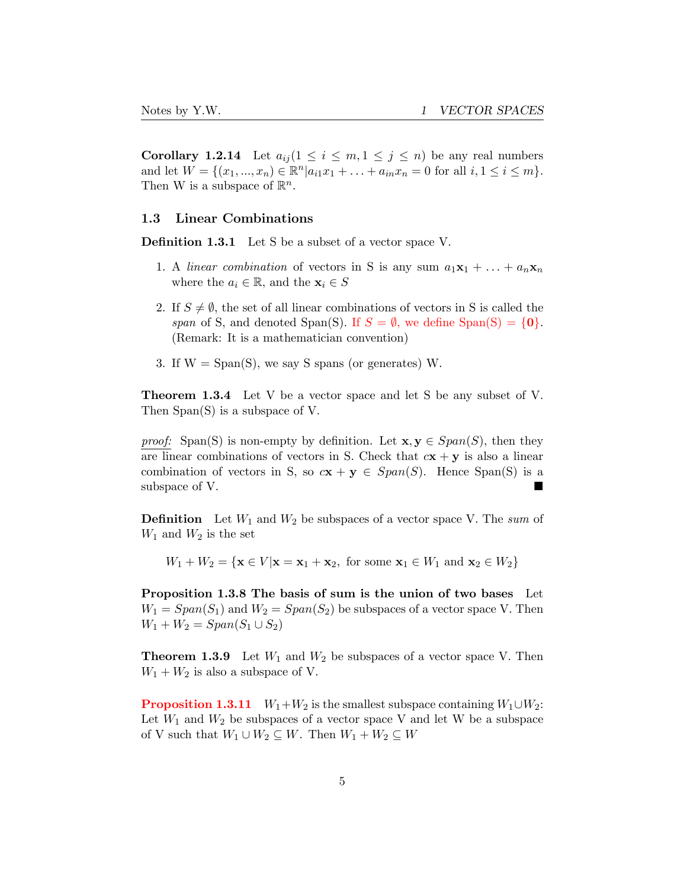**Corollary 1.2.14** Let  $a_{ij}$   $(1 \leq i \leq m, 1 \leq j \leq n)$  be any real numbers and let  $W = \{(x_1, ..., x_n) \in \mathbb{R}^n | a_{i1}x_1 + ... + a_{in}x_n = 0 \text{ for all } i, 1 \le i \le m \}.$ Then W is a subspace of  $\mathbb{R}^n$ .

### <span id="page-4-0"></span>1.3 Linear Combinations

Definition 1.3.1 Let S be a subset of a vector space V.

- 1. A *linear combination* of vectors in S is any sum  $a_1x_1 + \ldots + a_nx_n$ where the  $a_i \in \mathbb{R}$ , and the  $\mathbf{x}_i \in S$
- 2. If  $S \neq \emptyset$ , the set of all linear combinations of vectors in S is called the *span* of S, and denoted Span(S). If  $S = \emptyset$ , we define Span(S) =  $\{0\}$ . (Remark: It is a mathematician convention)
- 3. If  $W = Span(S)$ , we say S spans (or generates) W.

**Theorem 1.3.4** Let V be a vector space and let S be any subset of V. Then Span(S) is a subspace of V.

*proof:* Span(S) is non-empty by definition. Let  $\mathbf{x}, \mathbf{y} \in Span(S)$ , then they are linear combinations of vectors in S. Check that  $c\mathbf{x} + \mathbf{y}$  is also a linear combination of vectors in S, so  $c\mathbf{x} + \mathbf{y} \in Span(S)$ . Hence Span(S) is a subspace of V.

Definition Let *W*<sup>1</sup> and *W*<sup>2</sup> be subspaces of a vector space V. The *sum* of  $W_1$  and  $W_2$  is the set

 $W_1 + W_2 = \{ \mathbf{x} \in V | \mathbf{x} = \mathbf{x}_1 + \mathbf{x}_2, \text{ for some } \mathbf{x}_1 \in W_1 \text{ and } \mathbf{x}_2 \in W_2 \}$ 

Proposition 1.3.8 The basis of sum is the union of two bases Let  $W_1 = Span(S_1)$  and  $W_2 = Span(S_2)$  be subspaces of a vector space V. Then *W*<sub>1</sub> + *W*<sub>2</sub> = *Span*(*S*<sub>1</sub> ∪ *S*<sub>2</sub>)

**Theorem 1.3.9** Let  $W_1$  and  $W_2$  be subspaces of a vector space V. Then  $W_1 + W_2$  is also a subspace of V.

**Proposition 1.3.11** *W*<sub>1</sub>+*W*<sub>2</sub> is the smallest subspace containing  $W_1 \cup W_2$ : Let  $W_1$  and  $W_2$  be subspaces of a vector space V and let W be a subspace of V such that  $W_1 \cup W_2 \subseteq W$ . Then  $W_1 + W_2 \subseteq W$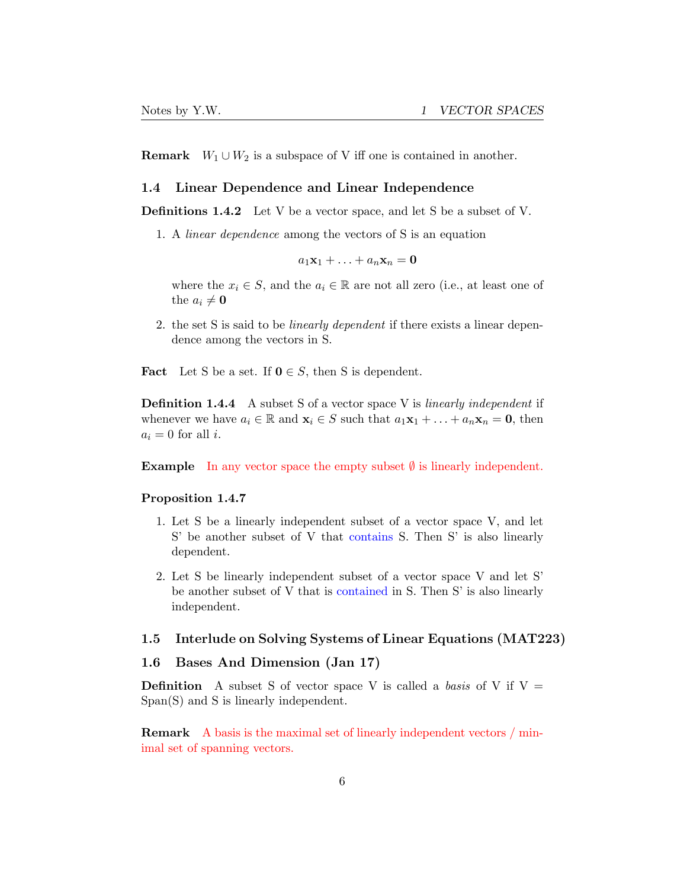**Remark**  $W_1 \cup W_2$  is a subspace of V iff one is contained in another.

### <span id="page-5-0"></span>1.4 Linear Dependence and Linear Independence

Definitions 1.4.2 Let V be a vector space, and let S be a subset of V.

1. A *linear dependence* among the vectors of S is an equation

$$
a_1\mathbf{x}_1+\ldots+a_n\mathbf{x}_n=\mathbf{0}
$$

where the  $x_i \in S$ , and the  $a_i \in \mathbb{R}$  are not all zero (i.e., at least one of the  $a_i \neq \mathbf{0}$ 

2. the set S is said to be *linearly dependent* if there exists a linear dependence among the vectors in S.

**Fact** Let S be a set. If  $0 \in S$ , then S is dependent.

Definition 1.4.4 A subset S of a vector space V is *linearly independent* if whenever we have  $a_i \in \mathbb{R}$  and  $\mathbf{x}_i \in S$  such that  $a_1 \mathbf{x}_1 + \ldots + a_n \mathbf{x}_n = \mathbf{0}$ , then  $a_i = 0$  for all *i*.

**Example** In any vector space the empty subset  $\emptyset$  is linearly independent.

### Proposition 1.4.7

- 1. Let S be a linearly independent subset of a vector space V, and let S' be another subset of V that contains S. Then S' is also linearly dependent.
- 2. Let S be linearly independent subset of a vector space V and let S' be another subset of V that is contained in S. Then S' is also linearly independent.

### <span id="page-5-1"></span>1.5 Interlude on Solving Systems of Linear Equations (MAT223)

### <span id="page-5-2"></span>1.6 Bases And Dimension (Jan 17)

**Definition** A subset S of vector space V is called a *basis* of V if  $V =$ Span(S) and S is linearly independent.

Remark A basis is the maximal set of linearly independent vectors / minimal set of spanning vectors.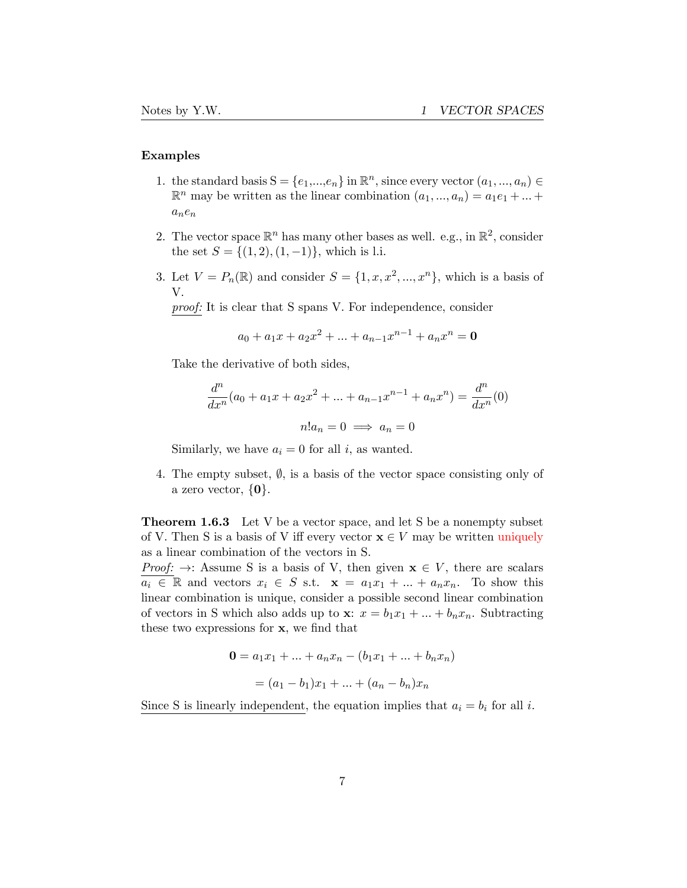### Examples

- 1. the standard basis  $S = \{e_1, ..., e_n\}$  in  $\mathbb{R}^n$ , since every vector  $(a_1, ..., a_n) \in$  $\mathbb{R}^n$  may be written as the linear combination  $(a_1, ..., a_n) = a_1e_1 + ...$ *ane<sup>n</sup>*
- 2. The vector space  $\mathbb{R}^n$  has many other bases as well. e.g., in  $\mathbb{R}^2$ , consider the set  $S = \{(1, 2), (1, -1)\}\$ , which is l.i.
- 3. Let  $V = P_n(\mathbb{R})$  and consider  $S = \{1, x, x^2, ..., x^n\}$ , which is a basis of V.

*proof:* It is clear that S spans V. For independence, consider

$$
a_0 + a_1 x + a_2 x^2 + \dots + a_{n-1} x^{n-1} + a_n x^n = \mathbf{0}
$$

Take the derivative of both sides,

$$
\frac{d^n}{dx^n}(a_0 + a_1x + a_2x^2 + \dots + a_{n-1}x^{n-1} + a_nx^n) = \frac{d^n}{dx^n}(0)
$$

$$
n!a_n = 0 \implies a_n = 0
$$

Similarly, we have  $a_i = 0$  for all *i*, as wanted.

4. The empty subset,  $\emptyset$ , is a basis of the vector space consisting only of a zero vector, *{*0*}*.

**Theorem 1.6.3** Let V be a vector space, and let S be a nonempty subset of V. Then S is a basis of V iff every vector  $x \in V$  may be written uniquely as a linear combination of the vectors in S.

*Proof:*  $\rightarrow$ : Assume S is a basis of V, then given  $x \in V$ , there are scalars  $a_i \in \mathbb{R}$  and vectors  $x_i \in S$  s.t.  $\mathbf{x} = a_1 x_1 + ... + a_n x_n$ . To show this linear combination is unique, consider a possible second linear combination of vectors in S which also adds up to  $\mathbf{x}: x = b_1x_1 + ... + b_nx_n$ . Subtracting these two expressions for x, we find that

$$
\mathbf{0} = a_1 x_1 + \dots + a_n x_n - (b_1 x_1 + \dots + b_n x_n)
$$

$$
= (a_1 - b_1)x_1 + \dots + (a_n - b_n)x_n
$$

Since S is linearly independent, the equation implies that  $a_i = b_i$  for all *i*.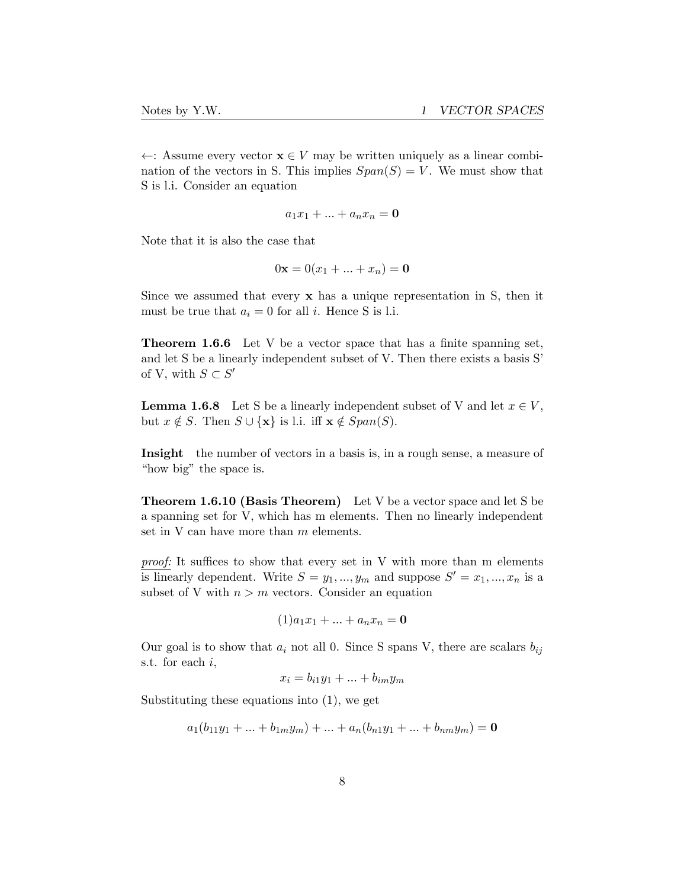←: Assume every vector x ∈ *V* may be written uniquely as a linear combination of the vectors in S. This implies  $Span(S) = V$ . We must show that S is l.i. Consider an equation

$$
a_1x_1 + \ldots + a_nx_n = \mathbf{0}
$$

Note that it is also the case that

$$
0\mathbf{x} = 0(x_1 + \dots + x_n) = \mathbf{0}
$$

Since we assumed that every x has a unique representation in S, then it must be true that  $a_i = 0$  for all *i*. Hence S is l.i.

**Theorem 1.6.6** Let V be a vector space that has a finite spanning set, and let S be a linearly independent subset of V. Then there exists a basis S' of V, with  $S \subset S'$ 

**Lemma 1.6.8** Let S be a linearly independent subset of V and let  $x \in V$ , but  $x \notin S$ . Then  $S \cup \{x\}$  is l.i. iff  $x \notin Span(S)$ .

Insight the number of vectors in a basis is, in a rough sense, a measure of "how big" the space is.

Theorem 1.6.10 (Basis Theorem) Let V be a vector space and let S be a spanning set for V, which has m elements. Then no linearly independent set in V can have more than *m* elements.

proof: It suffices to show that every set in V with more than m elements is linearly dependent. Write  $S = y_1, ..., y_m$  and suppose  $S' = x_1, ..., x_n$  is a subset of V with  $n > m$  vectors. Consider an equation

$$
(1)a_1x_1 + \ldots + a_nx_n = \mathbf{0}
$$

Our goal is to show that  $a_i$  not all 0. Since S spans V, there are scalars  $b_{ij}$ s.t. for each *i*,

 $x_i = b_{i1}y_1 + ... + b_{im}y_m$ 

Substituting these equations into (1), we get

$$
a_1(b_{11}y_1 + ... + b_{1m}y_m) + ... + a_n(b_{n1}y_1 + ... + b_{nm}y_m) = \mathbf{0}
$$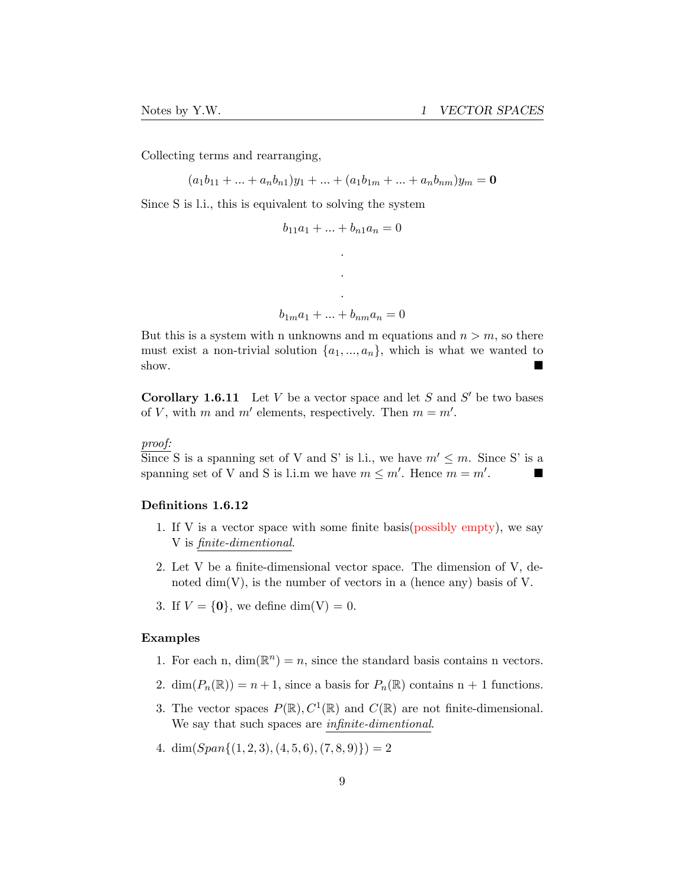Collecting terms and rearranging,

 $(a_1b_{11} + ... + a_nb_{n1})y_1 + ... + (a_1b_{1m} + ... + a_nb_{nm})y_m = 0$ 

Since S is l.i., this is equivalent to solving the system

$$
b_{11}a_1 + \dots + b_{n1}a_n = 0
$$

*. .*

$$
\cdot
$$
  

$$
b_{1m}a_1 + \ldots + b_{nm}a_n = 0
$$

But this is a system with n unknowns and m equations and  $n > m$ , so there must exist a non-trivial solution  $\{a_1, ..., a_n\}$ , which is what we wanted to show. show.

**Corollary 1.6.11** Let *V* be a vector space and let *S* and  $S'$  be two bases of *V*, with *m* and *m'* elements, respectively. Then  $m = m'$ .

*proof:*

Since S is a spanning set of V and S' is l.i., we have  $m' \leq m$ . Since S' is a spanning set of V and S is l i m we have  $m \leq m'$  Hence  $m = m'$ spanning set of V and S is l.i.m we have  $m \leq m'$ . Hence  $m = m'$ .

### Definitions 1.6.12

- 1. If V is a vector space with some finite basis(possibly empty), we say V is *finite-dimentional*.
- 2. Let V be a finite-dimensional vector space. The dimension of V, denoted  $\dim(V)$ , is the number of vectors in a (hence any) basis of V.
- 3. If  $V = \{0\}$ , we define dim(V) = 0.

#### Examples

- 1. For each n,  $\dim(\mathbb{R}^n) = n$ , since the standard basis contains n vectors.
- 2. dim $(P_n(\mathbb{R})) = n + 1$ , since a basis for  $P_n(\mathbb{R})$  contains n + 1 functions.
- 3. The vector spaces  $P(\mathbb{R})$ ,  $C^1(\mathbb{R})$  and  $C(\mathbb{R})$  are not finite-dimensional. We say that such spaces are *infinite-dimentional*.
- 4. dim $(Span{(1, 2, 3), (4, 5, 6), (7, 8, 9)} = 2$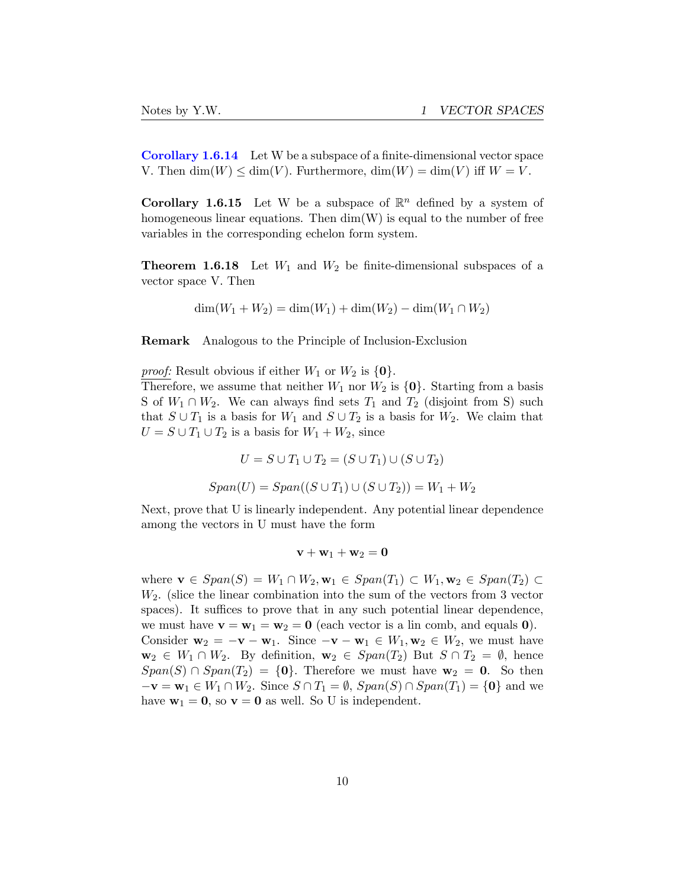Corollary 1.6.14 Let W be a subspace of a finite-dimensional vector space V. Then  $\dim(W) \leq \dim(V)$ . Furthermore,  $\dim(W) = \dim(V)$  iff  $W = V$ .

**Corollary 1.6.15** Let W be a subspace of  $\mathbb{R}^n$  defined by a system of homogeneous linear equations. Then  $\dim(W)$  is equal to the number of free variables in the corresponding echelon form system.

**Theorem 1.6.18** Let  $W_1$  and  $W_2$  be finite-dimensional subspaces of a vector space V. Then

$$
\dim(W_1 + W_2) = \dim(W_1) + \dim(W_2) - \dim(W_1 \cap W_2)
$$

Remark Analogous to the Principle of Inclusion-Exclusion

*proof:* Result obvious if either  $W_1$  or  $W_2$  is  $\{0\}$ .

Therefore, we assume that neither  $W_1$  nor  $W_2$  is  $\{0\}$ . Starting from a basis S of  $W_1 \cap W_2$ . We can always find sets  $T_1$  and  $T_2$  (disjoint from S) such that  $S \cup T_1$  is a basis for  $W_1$  and  $S \cup T_2$  is a basis for  $W_2$ . We claim that  $U = S \cup T_1 \cup T_2$  is a basis for  $W_1 + W_2$ , since

$$
U = S \cup T_1 \cup T_2 = (S \cup T_1) \cup (S \cup T_2)
$$
  
Span(U) = Span((S \cup T\_1) \cup (S \cup T\_2)) = W\_1 + W\_2

Next, prove that U is linearly independent. Any potential linear dependence among the vectors in U must have the form

 $v + w_1 + w_2 = 0$ 

where  $\mathbf{v} \in Span(S) = W_1 \cap W_2, \mathbf{w}_1 \in Span(T_1) \subset W_1, \mathbf{w}_2 \in Span(T_2) \subset$ *W*2. (slice the linear combination into the sum of the vectors from 3 vector spaces). It suffices to prove that in any such potential linear dependence, we must have  $\mathbf{v} = \mathbf{w}_1 = \mathbf{w}_2 = \mathbf{0}$  (each vector is a lin comb, and equals **0**). Consider  $\mathbf{w}_2 = -\mathbf{v} - \mathbf{w}_1$ . Since  $-\mathbf{v} - \mathbf{w}_1 \in W_1, \mathbf{w}_2 \in W_2$ , we must have  $\mathbf{w}_2 \in W_1 \cap W_2$ . By definition,  $\mathbf{w}_2 \in Span(T_2)$  But  $S \cap T_2 = \emptyset$ , hence  $Span(S) \cap Span(T_2) = \{0\}$ . Therefore we must have  $w_2 = 0$ . So then  $-\mathbf{v} = \mathbf{w}_1 \in W_1 \cap W_2$ . Since  $S \cap T_1 = \emptyset$ ,  $Span(S) \cap Span(T_1) = \{0\}$  and we have  $w_1 = 0$ , so  $v = 0$  as well. So U is independent.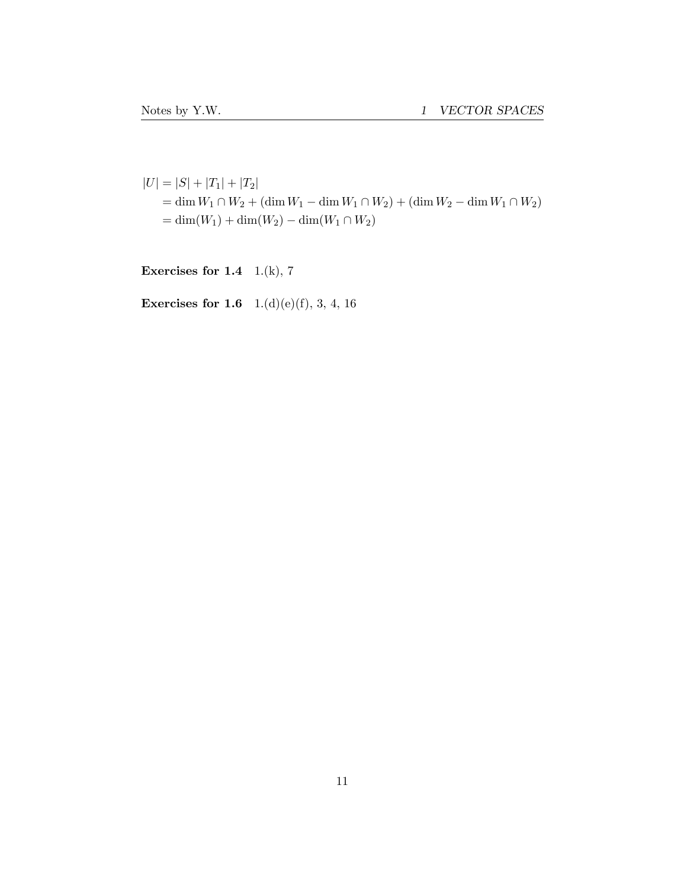$|U| = |S| + |T_1| + |T_2|$  $=$  dim  $W_1 ∩ W_2 + (\dim W_1 - \dim W_1 ∩ W_2) + (\dim W_2 - \dim W_1 ∩ W_2)$  $= \dim(W_1) + \dim(W_2) - \dim(W_1 \cap W_2)$ 

Exercises for  $1.4$  1.(k), 7

**Exercises for 1.6** 1.(d)(e)(f), 3, 4, 16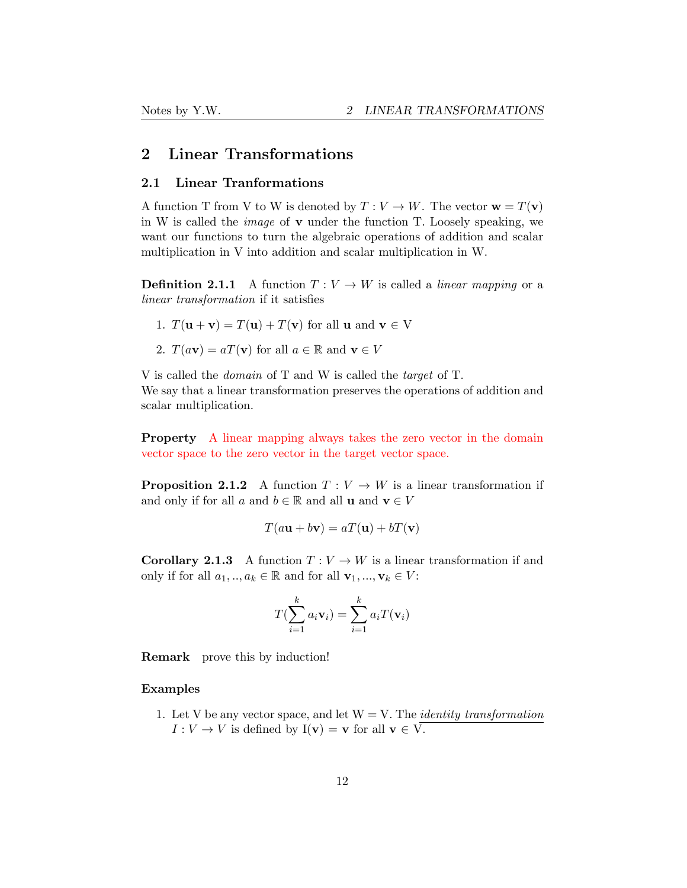# <span id="page-11-0"></span>2 Linear Transformations

### <span id="page-11-1"></span>2.1 Linear Tranformations

A function T from V to W is denoted by  $T: V \to W$ . The vector  $\mathbf{w} = T(\mathbf{v})$ in W is called the *image* of v under the function T. Loosely speaking, we want our functions to turn the algebraic operations of addition and scalar multiplication in V into addition and scalar multiplication in W.

**Definition 2.1.1** A function  $T: V \to W$  is called a *linear mapping* or a *linear transformation* if it satisfies

- 1.  $T(\mathbf{u} + \mathbf{v}) = T(\mathbf{u}) + T(\mathbf{v})$  for all  $\mathbf{u}$  and  $\mathbf{v} \in V$
- 2.  $T(a\mathbf{v}) = aT(\mathbf{v})$  for all  $a \in \mathbb{R}$  and  $\mathbf{v} \in V$

V is called the *domain* of T and W is called the *target* of T. We say that a linear transformation preserves the operations of addition and scalar multiplication.

Property A linear mapping always takes the zero vector in the domain vector space to the zero vector in the target vector space.

**Proposition 2.1.2** A function  $T: V \to W$  is a linear transformation if and only if for all *a* and  $b \in \mathbb{R}$  and all **u** and  $\mathbf{v} \in V$ 

$$
T(a\mathbf{u} + b\mathbf{v}) = aT(\mathbf{u}) + bT(\mathbf{v})
$$

**Corollary 2.1.3** A function  $T: V \to W$  is a linear transformation if and only if for all  $a_1, \ldots, a_k \in \mathbb{R}$  and for all  $\mathbf{v}_1, \ldots, \mathbf{v}_k \in V$ :

$$
T(\sum_{i=1}^{k} a_i \mathbf{v}_i) = \sum_{i=1}^{k} a_i T(\mathbf{v}_i)
$$

Remark prove this by induction!

### Examples

1. Let V be any vector space, and let  $W = V$ . The *identity* transformation  $I: V \to V$  is defined by  $I(v) = v$  for all  $v \in V$ .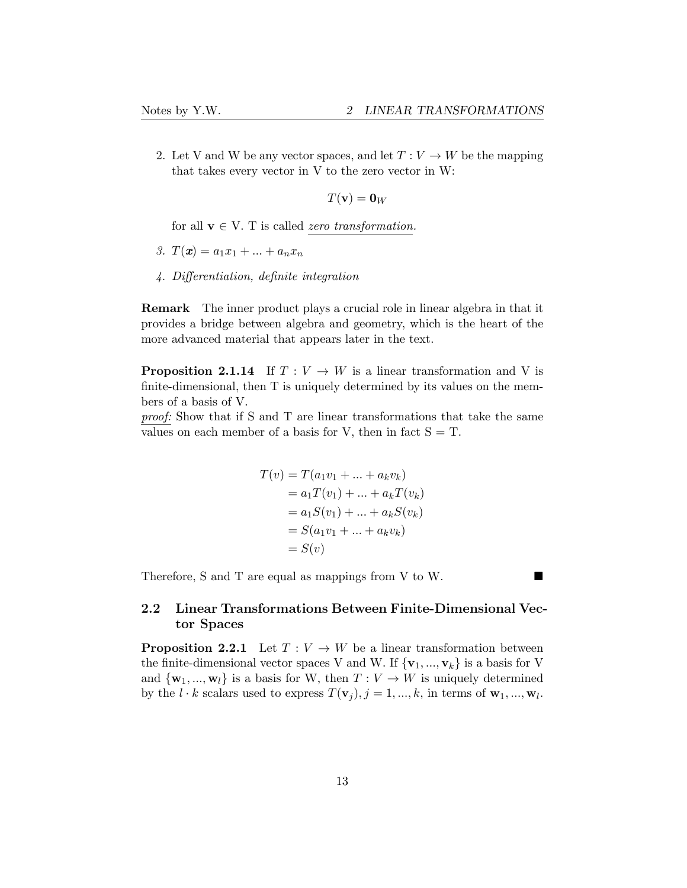2. Let V and W be any vector spaces, and let  $T: V \to W$  be the mapping that takes every vector in V to the zero vector in W:

$$
T(\mathbf{v}) = \mathbf{0}_W
$$

for all  $v \in V$ . T is called *zero transformation*.

- *3.*  $T(x) = a_1x_1 + ... + a_nx_n$
- *4. Di*ff*erentiation, definite integration*

Remark The inner product plays a crucial role in linear algebra in that it provides a bridge between algebra and geometry, which is the heart of the more advanced material that appears later in the text.

**Proposition 2.1.14** If  $T: V \to W$  is a linear transformation and V is finite-dimensional, then T is uniquely determined by its values on the members of a basis of V.

*proof:* Show that if S and T are linear transformations that take the same values on each member of a basis for V, then in fact  $S = T$ .

$$
T(v) = T(a_1v_1 + ... + a_kv_k)
$$
  
=  $a_1T(v_1) + ... + a_kT(v_k)$   
=  $a_1S(v_1) + ... + a_kS(v_k)$   
=  $S(a_1v_1 + ... + a_kv_k)$   
=  $S(v)$ 

Therefore, S and T are equal as mappings from V to W.

## <span id="page-12-0"></span>2.2 Linear Transformations Between Finite-Dimensional Vector Spaces

**Proposition 2.2.1** Let  $T: V \to W$  be a linear transformation between the finite-dimensional vector spaces V and W. If  $\{v_1, ..., v_k\}$  is a basis for V and  $\{w_1, ..., w_l\}$  is a basis for W, then  $T: V \to W$  is uniquely determined by the  $l \cdot k$  scalars used to express  $T(\mathbf{v}_j), j = 1, ..., k$ , in terms of  $\mathbf{w}_1, ..., \mathbf{w}_l$ .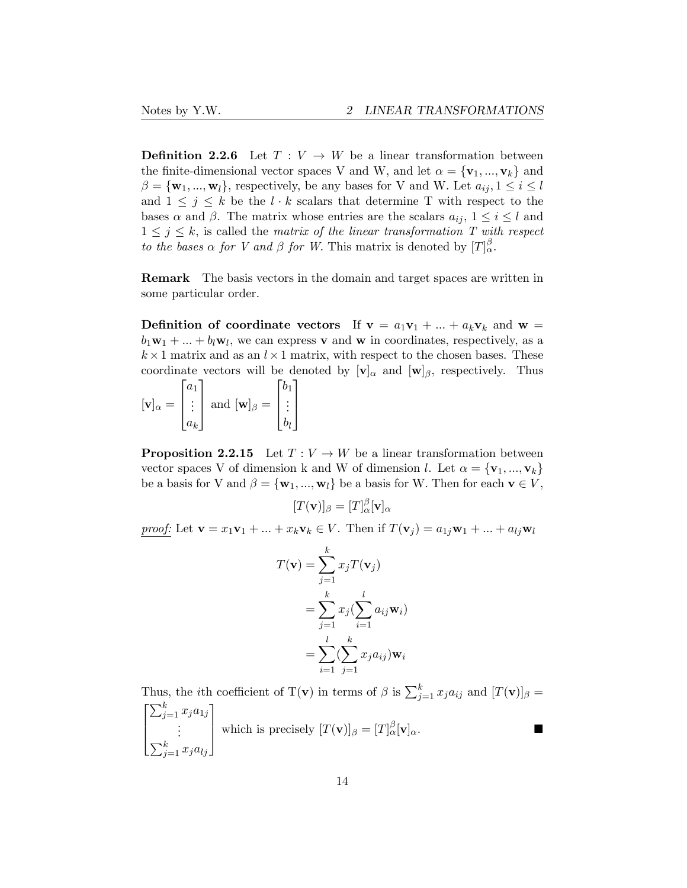**Definition 2.2.6** Let  $T: V \to W$  be a linear transformation between the finite-dimensional vector spaces V and W, and let  $\alpha = {\mathbf{v}_1, ..., \mathbf{v}_k}$  and  $\beta = {\mathbf{w}_1, ..., \mathbf{w}_l}$ , respectively, be any bases for V and W. Let  $a_{ij}, 1 \le i \le l$ and  $1 \leq j \leq k$  be the  $l \cdot k$  scalars that determine T with respect to the bases  $\alpha$  and  $\beta$ . The matrix whose entries are the scalars  $a_{ij}$ ,  $1 \leq i \leq l$  and  $1 \leq j \leq k$ , is called the *matrix of the linear transformation T with respect to the bases*  $\alpha$  *for V and*  $\beta$  *for W*. This matrix is denoted by  $[T]_{\alpha}^{\beta}$ .

Remark The basis vectors in the domain and target spaces are written in some particular order.

**Definition of coordinate vectors** If  $v = a_1v_1 + ... + a_kv_k$  and  $w =$  $b_1\mathbf{w}_1 + \ldots + b_l\mathbf{w}_l$ , we can express v and w in coordinates, respectively, as a  $k \times 1$  matrix and as an  $l \times 1$  matrix, with respect to the chosen bases. These coordinate vectors will be denoted by  $[v]_{\alpha}$  and  $[w]_{\beta}$ , respectively. Thus

 $[\mathbf{v}]_\alpha =$  $\sqrt{ }$  $\vert$ *a*1 . . . *ak* 1 | and  $[\mathbf{w}]_{\beta} =$  $\sqrt{ }$  $\overline{\phantom{a}}$ *b*1 . . . *bl* 1  $\overline{\phantom{a}}$ 

**Proposition 2.2.15** Let  $T: V \to W$  be a linear transformation between vector spaces V of dimension k and W of dimension *l*. Let  $\alpha = {\bf{v}_1, ..., v_k}$ be a basis for V and  $\beta = {\mathbf{w}_1, ..., \mathbf{w}_l}$  be a basis for W. Then for each  $\mathbf{v} \in V$ ,

$$
[T(\mathbf{v})]_{\beta} = [T]_{\alpha}^{\beta}[\mathbf{v}]_{\alpha}
$$

*proof:* Let  $\mathbf{v} = x_1 \mathbf{v}_1 + \ldots + x_k \mathbf{v}_k \in V$ . Then if  $T(\mathbf{v}_j) = a_{1j} \mathbf{w}_1 + \ldots + a_{lj} \mathbf{w}_l$ 

$$
T(\mathbf{v}) = \sum_{j=1}^{k} x_j T(\mathbf{v}_j)
$$
  
= 
$$
\sum_{j=1}^{k} x_j (\sum_{i=1}^{l} a_{ij} \mathbf{w}_i)
$$
  
= 
$$
\sum_{i=1}^{l} (\sum_{j=1}^{k} x_j a_{ij}) \mathbf{w}_i
$$

Thus, the *i*th coefficient of T(**v**) in terms of  $\beta$  is  $\sum_{j=1}^{k} x_j a_{ij}$  and  $[T(\mathbf{v})]_{\beta} =$  $\sqrt{ }$  $\overline{\phantom{a}}$  $\sum_{j=1}^{k} x_j a_{1j}$ . . .  $\sum_{j=1}^k x_j a_{lj}$ 1 which is precisely  $[T(\mathbf{v})]_{\beta} = [T]_{\alpha}^{\beta}[\mathbf{v}]_{\alpha}$ .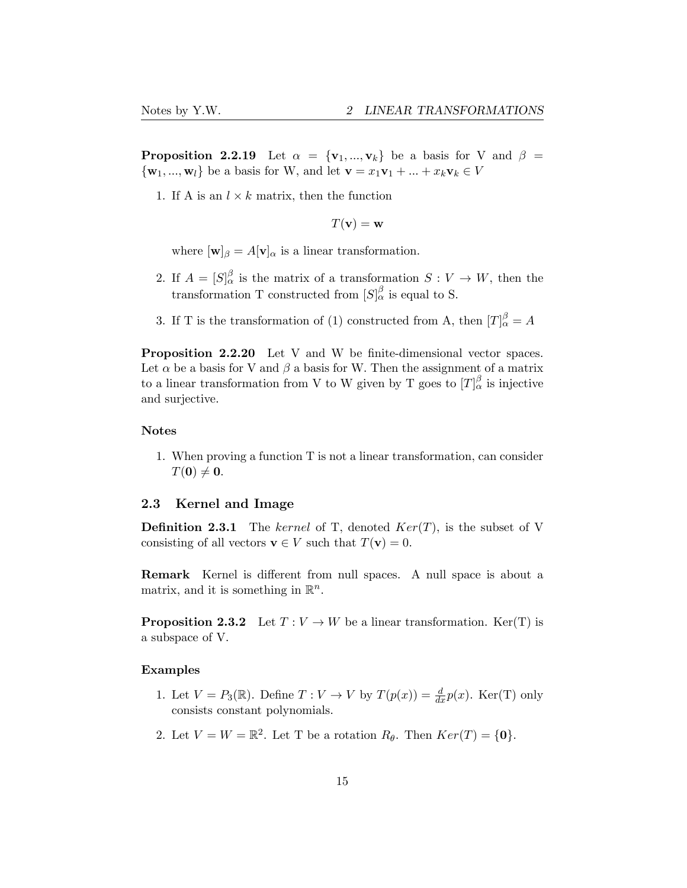**Proposition 2.2.19** Let  $\alpha = {\mathbf{v}_1, ..., \mathbf{v}_k}$  be a basis for V and  $\beta =$  $\{$ **w**<sub>1</sub>, ...,**w**<sub>l</sub>} be a basis for W, and let **v** =  $x_1$ **v**<sub>1</sub> + ... +  $x_k$ **v**<sub>k</sub>  $\in$  *V* 

1. If A is an  $l \times k$  matrix, then the function

 $T(\mathbf{v}) = \mathbf{w}$ 

where  $[\mathbf{w}]_{\beta} = A[\mathbf{v}]_{\alpha}$  is a linear transformation.

- 2. If  $A = [S]_{\alpha}^{\beta}$  is the matrix of a transformation  $S: V \to W$ , then the transformation T constructed from  $[S]_{\alpha}^{\beta}$  is equal to S.
- 3. If T is the transformation of (1) constructed from A, then  $[T]_{\alpha}^{\beta} = A$

Proposition 2.2.20 Let V and W be finite-dimensional vector spaces. Let  $\alpha$  be a basis for V and  $\beta$  a basis for W. Then the assignment of a matrix to a linear transformation from V to W given by T goes to  $[T]_{\alpha}^{\beta}$  is injective and surjective.

### Notes

1. When proving a function T is not a linear transformation, can consider  $T(\mathbf{0}) \neq \mathbf{0}.$ 

### <span id="page-14-0"></span>2.3 Kernel and Image

Definition 2.3.1 The *kernel* of T, denoted *Ker*(*T*), is the subset of V consisting of all vectors  $\mathbf{v} \in V$  such that  $T(\mathbf{v}) = 0$ .

Remark Kernel is different from null spaces. A null space is about a matrix, and it is something in R*n*.

**Proposition 2.3.2** Let  $T: V \to W$  be a linear transformation. Ker(T) is a subspace of V.

### Examples

- 1. Let  $V = P_3(\mathbb{R})$ . Define  $T: V \to V$  by  $T(p(x)) = \frac{d}{dx}p(x)$ . Ker(T) only consists constant polynomials.
- 2. Let  $V = W = \mathbb{R}^2$ . Let T be a rotation  $R_\theta$ . Then  $Ker(T) = \{0\}$ .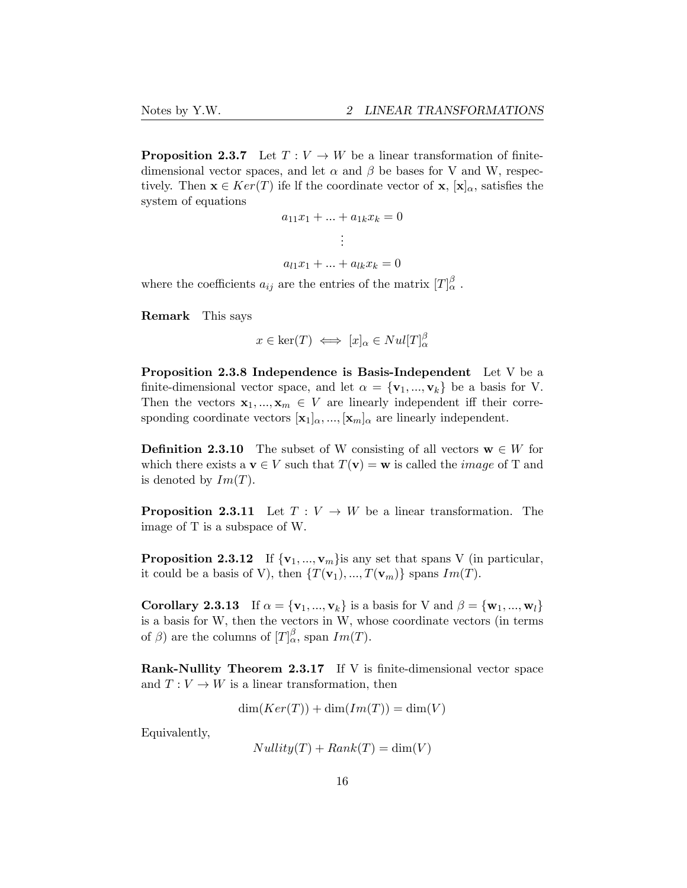**Proposition 2.3.7** Let  $T: V \to W$  be a linear transformation of finitedimensional vector spaces, and let  $\alpha$  and  $\beta$  be bases for V and W, respectively. Then  $\mathbf{x} \in \text{Ker}(T)$  ife lf the coordinate vector of  $\mathbf{x}, [\mathbf{x}]_{\alpha}$ , satisfies the system of equations

$$
a_{11}x_1 + \dots + a_{1k}x_k = 0
$$
  
 
$$
\vdots
$$
  
 
$$
a_{l1}x_1 + \dots + a_{lk}x_k = 0
$$

where the coefficients  $a_{ij}$  are the entries of the matrix  $[T]_{\alpha}^{\beta}$ .

Remark This says

$$
x \in \ker(T) \iff [x]_{\alpha} \in Null[T]^{\beta}_{\alpha}
$$

Proposition 2.3.8 Independence is Basis-Independent Let V be a finite-dimensional vector space, and let  $\alpha = {\mathbf{v}_1, ..., \mathbf{v}_k}$  be a basis for V. Then the vectors  $\mathbf{x}_1, ..., \mathbf{x}_m \in V$  are linearly independent iff their corresponding coordinate vectors  $[\mathbf{x}_1]_{\alpha}, ..., [\mathbf{x}_m]_{\alpha}$  are linearly independent.

**Definition 2.3.10** The subset of W consisting of all vectors  $\mathbf{w} \in W$  for which there exists a  $\mathbf{v} \in V$  such that  $T(\mathbf{v}) = \mathbf{w}$  is called the *image* of T and is denoted by  $Im(T)$ .

**Proposition 2.3.11** Let  $T: V \to W$  be a linear transformation. The image of T is a subspace of W.

**Proposition 2.3.12** If  $\{v_1, ..., v_m\}$  is any set that spans V (in particular, it could be a basis of V), then  $\{T(\mathbf{v}_1), ..., T(\mathbf{v}_m)\}$  spans  $Im(T)$ .

Corollary 2.3.13 If  $\alpha = {\bf{v}_1, ..., v_k}$  is a basis for V and  $\beta = {\bf{w}_1, ..., w_l}$ is a basis for W, then the vectors in W, whose coordinate vectors (in terms of  $\beta$ ) are the columns of  $[T]_{\alpha}^{\beta}$ , span  $Im(T)$ .

Rank-Nullity Theorem 2.3.17 If V is finite-dimensional vector space and  $T: V \to W$  is a linear transformation, then

$$
\dim(Ker(T)) + \dim(Im(T)) = \dim(V)
$$

Equivalently,

$$
Nullity(T) + Rank(T) = \dim(V)
$$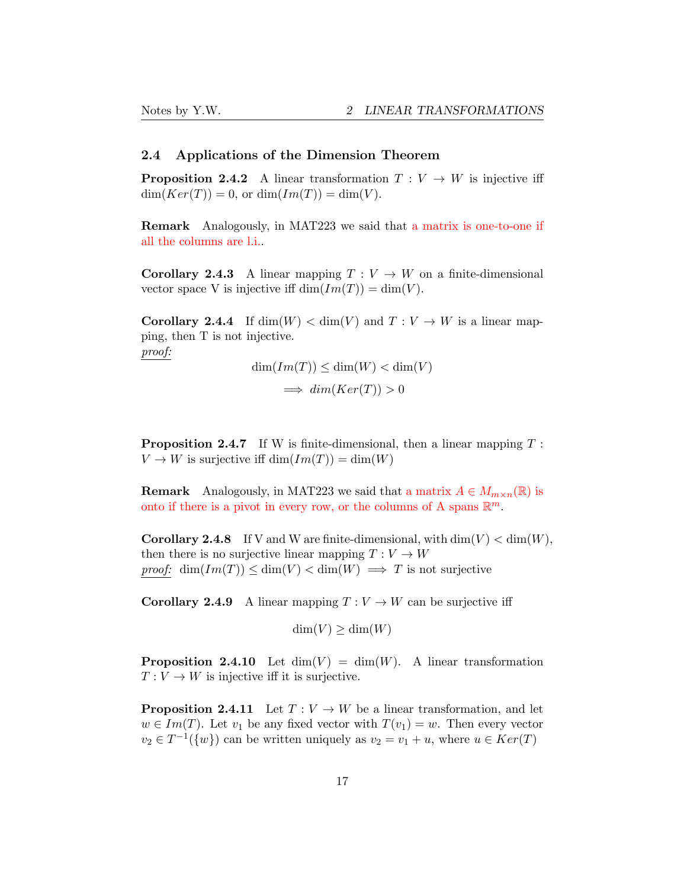# <span id="page-16-0"></span>2.4 Applications of the Dimension Theorem

**Proposition 2.4.2** A linear transformation  $T: V \to W$  is injective iff  $dim(Ker(T)) = 0$ , or  $dim(Im(T)) = dim(V)$ .

Remark Analogously, in MAT223 we said that a matrix is one-to-one if all the columns are l.i..

**Corollary 2.4.3** A linear mapping  $T: V \to W$  on a finite-dimensional vector space V is injective iff  $\dim(\text{Im}(T)) = \dim(V)$ .

**Corollary 2.4.4** If  $\dim(W) < \dim(V)$  and  $T: V \to W$  is a linear mapping, then T is not injective. *proof:*

$$
\dim(Im(T)) \le \dim(W) < \dim(V)
$$
\n
$$
\implies \dim(Ker(T)) > 0
$$

Proposition 2.4.7 If W is finite-dimensional, then a linear mapping *T* :  $V \to W$  is surjective iff  $\dim(Im(T)) = \dim(W)$ 

**Remark** Analogously, in MAT223 we said that a matrix  $A \in M_{m \times n}(\mathbb{R})$  is onto if there is a pivot in every row, or the columns of A spans  $\mathbb{R}^m$ .

**Corollary 2.4.8** If V and W are finite-dimensional, with  $\dim(V) < \dim(W)$ , then there is no surjective linear mapping  $T: V \to W$ *proof:* dim $(Im(T)) \le dim(V) < dim(W) \implies T$  is not surjective

**Corollary 2.4.9** A linear mapping  $T: V \to W$  can be surjective iff

 $\dim(V) \geq \dim(W)$ 

**Proposition 2.4.10** Let  $\dim(V) = \dim(W)$ . A linear transformation  $T: V \to W$  is injective iff it is surjective.

**Proposition 2.4.11** Let  $T: V \to W$  be a linear transformation, and let  $w \in Im(T)$ . Let  $v_1$  be any fixed vector with  $T(v_1) = w$ . Then every vector  $v_2 \in T^{-1}(\{w\})$  can be written uniquely as  $v_2 = v_1 + u$ , where  $u \in Ker(T)$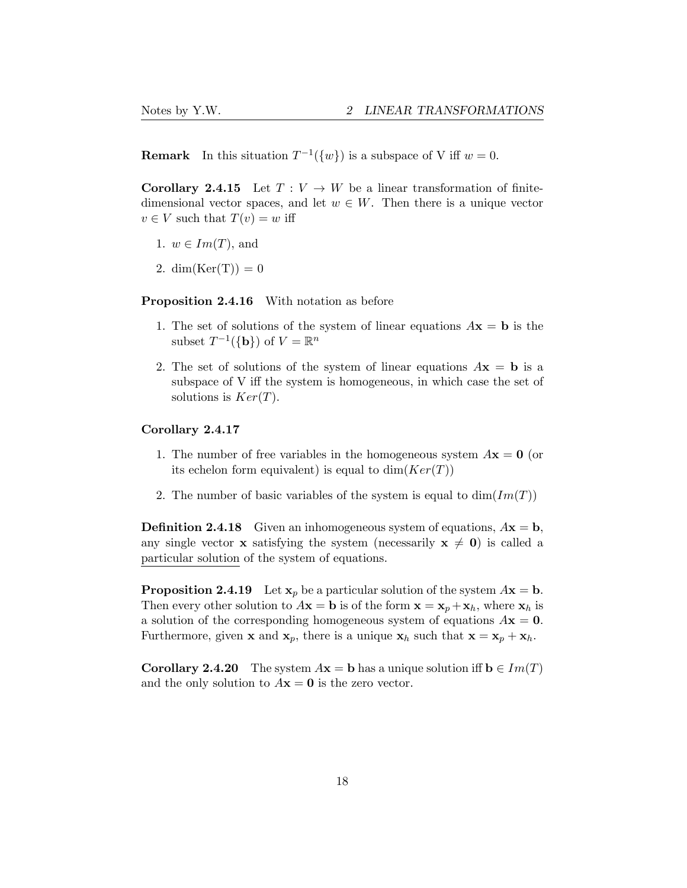**Remark** In this situation  $T^{-1}(\{w\})$  is a subspace of V iff  $w = 0$ .

**Corollary 2.4.15** Let  $T: V \to W$  be a linear transformation of finitedimensional vector spaces, and let  $w \in W$ . Then there is a unique vector  $v \in V$  such that  $T(v) = w$  iff

- 1.  $w \in Im(T)$ , and
- 2. dim(Ker(T)) = 0

Proposition 2.4.16 With notation as before

- 1. The set of solutions of the system of linear equations  $A\mathbf{x} = \mathbf{b}$  is the subset  $T^{-1}(\{\mathbf{b}\})$  of  $V = \mathbb{R}^n$
- 2. The set of solutions of the system of linear equations  $A\mathbf{x} = \mathbf{b}$  is a subspace of V iff the system is homogeneous, in which case the set of solutions is  $Ker(T)$ .

### Corollary 2.4.17

- 1. The number of free variables in the homogeneous system  $A\mathbf{x} = \mathbf{0}$  (or its echelon form equivalent) is equal to  $dim(Ker(T))$
- 2. The number of basic variables of the system is equal to  $dim(Im(T))$

**Definition 2.4.18** Given an inhomogeneous system of equations,  $A\mathbf{x} = \mathbf{b}$ , any single vector x satisfying the system (necessarily  $x \neq 0$ ) is called a particular solution of the system of equations.

**Proposition 2.4.19** Let  $\mathbf{x}_p$  be a particular solution of the system  $A\mathbf{x} = \mathbf{b}$ . Then every other solution to  $A\mathbf{x} = \mathbf{b}$  is of the form  $\mathbf{x} = \mathbf{x}_p + \mathbf{x}_h$ , where  $\mathbf{x}_h$  is a solution of the corresponding homogeneous system of equations  $A\mathbf{x} = \mathbf{0}$ . Furthermore, given **x** and **x**<sub>p</sub>, there is a unique **x**<sub>h</sub> such that **x** = **x**<sub>p</sub> + **x**<sub>h</sub>.

**Corollary 2.4.20** The system  $A\mathbf{x} = \mathbf{b}$  has a unique solution iff  $\mathbf{b} \in Im(T)$ and the only solution to  $A\mathbf{x} = \mathbf{0}$  is the zero vector.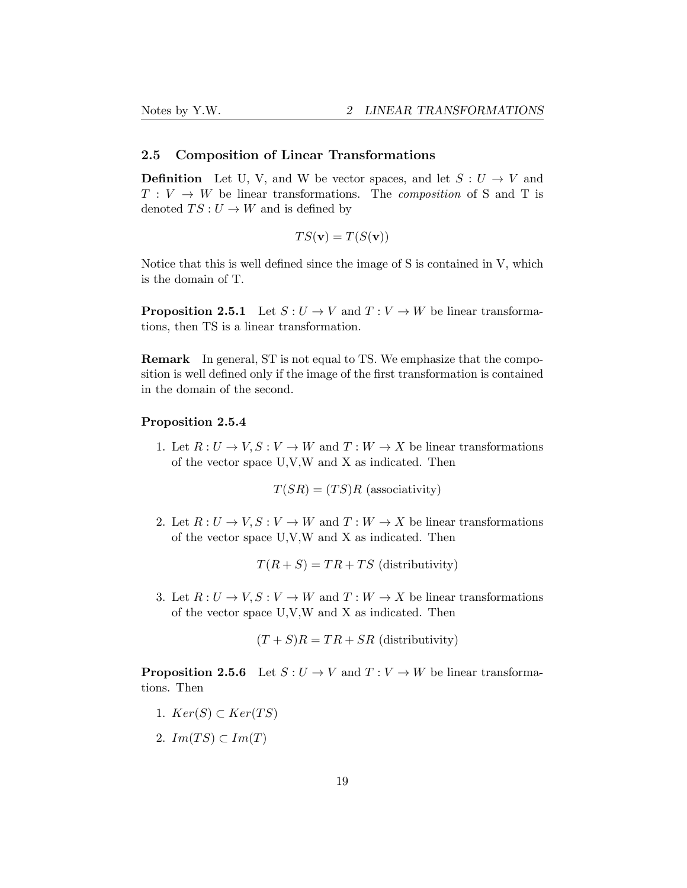### <span id="page-18-0"></span>2.5 Composition of Linear Transformations

**Definition** Let U, V, and W be vector spaces, and let  $S: U \to V$  and  $T: V \to W$  be linear transformations. The *composition* of S and T is denoted  $TS: U \rightarrow W$  and is defined by

$$
TS(\mathbf{v}) = T(S(\mathbf{v}))
$$

Notice that this is well defined since the image of S is contained in V, which is the domain of T.

**Proposition 2.5.1** Let  $S: U \to V$  and  $T: V \to W$  be linear transformations, then TS is a linear transformation.

Remark In general, ST is not equal to TS. We emphasize that the composition is well defined only if the image of the first transformation is contained in the domain of the second.

### Proposition 2.5.4

1. Let  $R: U \to V, S: V \to W$  and  $T: W \to X$  be linear transformations of the vector space U,V,W and X as indicated. Then

 $T(SR) = (TS)R$  (associativity)

2. Let  $R: U \to V, S: V \to W$  and  $T: W \to X$  be linear transformations of the vector space U,V,W and X as indicated. Then

$$
T(R + S) = TR + TS
$$
 (distributivity)

3. Let  $R: U \to V, S: V \to W$  and  $T: W \to X$  be linear transformations of the vector space U,V,W and X as indicated. Then

$$
(T + S)R = TR + SR
$$
 (distributivity)

**Proposition 2.5.6** Let  $S: U \to V$  and  $T: V \to W$  be linear transformations. Then

- 1.  $Ker(S) \subset Ker(TS)$
- 2.  $Im(TS) \subset Im(T)$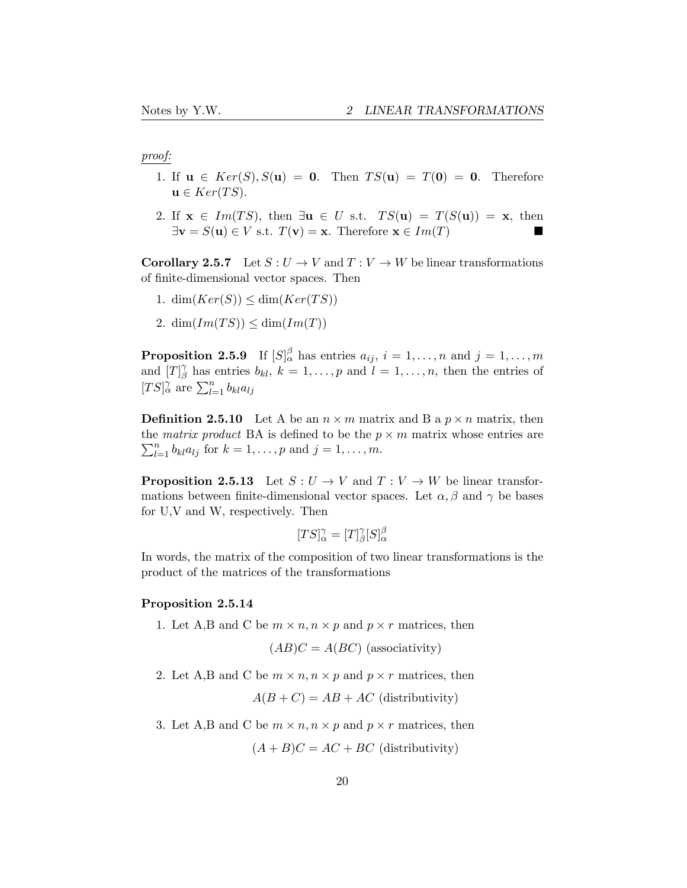### *proof:*

- 1. If  $u \in Ker(S), S(u) = 0$ . Then  $TS(u) = T(0) = 0$ . Therefore  $\mathbf{u} \in \text{Ker}(TS)$ .
- 2. If  $\mathbf{x} \in Im(TS)$ , then  $\exists \mathbf{u} \in U$  s.t.  $TS(\mathbf{u}) = T(S(\mathbf{u})) = \mathbf{x}$ , then  $\exists \mathbf{v} = S(\mathbf{u}) \in V$  s.t.  $T(\mathbf{v}) = \mathbf{x}$ . Therefore  $\mathbf{x} \in Im(T)$

**Corollary 2.5.7** Let  $S: U \to V$  and  $T: V \to W$  be linear transformations of finite-dimensional vector spaces. Then

- 1. dim $(Ker(S)) \leq \dim(Ker(TS))$
- 2. dim $(Im(TS)) \leq dim(Im(T))$

Proposition 2.5.9 If  $[S]_{\alpha}^{\beta}$  has entries  $a_{ij}$ ,  $i = 1, \ldots, n$  and  $j = 1, \ldots, m$ and  $[T]_{\beta}^{\gamma}$  has entries  $b_{kl}$ ,  $k = 1, \ldots, p$  and  $l = 1, \ldots, n$ , then the entries of  $[TS]_{\alpha}^{\gamma}$  are  $\sum_{l=1}^{n} b_{kl} a_{lj}$ 

**Definition 2.5.10** Let A be an  $n \times m$  matrix and B a  $p \times n$  matrix, then the *matrix* product BA is defined to be the  $p \times m$  matrix whose entries are  $\sum_{i=1}^{n} h_i a_{i,i}$  for  $k = 1$ , and  $i = 1$ , and  $m$  $\sum_{l=1}^{n} b_{kl} a_{lj}$  for  $k = 1, ..., p$  and  $j = 1, ..., m$ .

**Proposition 2.5.13** Let  $S: U \to V$  and  $T: V \to W$  be linear transformations between finite-dimensional vector spaces. Let  $\alpha$ ,  $\beta$  and  $\gamma$  be bases for U,V and W, respectively. Then

$$
[TS]^\gamma_\alpha = [T]^\gamma_\beta [S]^\beta_\alpha
$$

In words, the matrix of the composition of two linear transformations is the product of the matrices of the transformations

### Proposition 2.5.14

1. Let A,B and C be  $m \times n$ ,  $n \times p$  and  $p \times r$  matrices, then

$$
(AB)C = A(BC)
$$
 (associativity)

2. Let A,B and C be  $m \times n, n \times p$  and  $p \times r$  matrices, then

$$
A(B+C) = AB + AC
$$
 (distributivity)

3. Let A,B and C be  $m \times n$ ,  $n \times p$  and  $p \times r$  matrices, then

 $(A + B)C = AC + BC$  (distributivity)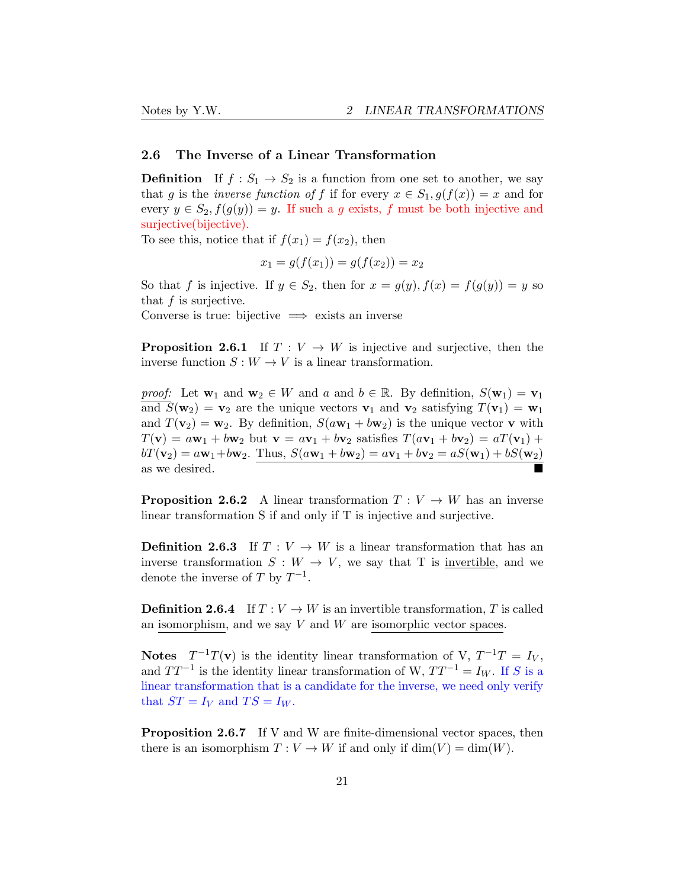### <span id="page-20-0"></span>2.6 The Inverse of a Linear Transformation

**Definition** If  $f : S_1 \to S_2$  is a function from one set to another, we say that *g* is the *inverse* function of f if for every  $x \in S_1$ ,  $g(f(x)) = x$  and for every  $y \in S_2$ ,  $f(g(y)) = y$ . If such a *g* exists, *f* must be both injective and surjective(bijective).

To see this, notice that if  $f(x_1) = f(x_2)$ , then

$$
x_1 = g(f(x_1)) = g(f(x_2)) = x_2
$$

So that *f* is injective. If  $y \in S_2$ , then for  $x = g(y)$ ,  $f(x) = f(g(y)) = y$  so that *f* is surjective.

Converse is true: bijective  $\implies$  exists an inverse

**Proposition 2.6.1** If  $T: V \to W$  is injective and surjective, then the inverse function  $S: W \to V$  is a linear transformation.

*proof:* Let  $\mathbf{w}_1$  and  $\mathbf{w}_2 \in W$  and  $a$  and  $b \in \mathbb{R}$ . By definition,  $S(\mathbf{w}_1) = \mathbf{v}_1$ and  $S(\mathbf{w}_2) = \mathbf{v}_2$  are the unique vectors  $\mathbf{v}_1$  and  $\mathbf{v}_2$  satisfying  $T(\mathbf{v}_1) = \mathbf{w}_1$ and  $T(\mathbf{v}_2) = \mathbf{w}_2$ . By definition,  $S(a\mathbf{w}_1 + b\mathbf{w}_2)$  is the unique vector **v** with  $T(\mathbf{v}) = a\mathbf{w}_1 + b\mathbf{w}_2$  but  $\mathbf{v} = a\mathbf{v}_1 + b\mathbf{v}_2$  satisfies  $T(a\mathbf{v}_1 + b\mathbf{v}_2) = aT(\mathbf{v}_1) + bT(\mathbf{v}_2)$  $bT(\mathbf{v}_2) = a\mathbf{w}_1 + b\mathbf{w}_2$ . Thus,  $S(a\mathbf{w}_1 + b\mathbf{w}_2) = a\mathbf{v}_1 + b\mathbf{v}_2 = aS(\mathbf{w}_1) + bS(\mathbf{w}_2)$ as we desired.

**Proposition 2.6.2** A linear transformation  $T: V \to W$  has an inverse linear transformation S if and only if T is injective and surjective.

**Definition 2.6.3** If  $T: V \to W$  is a linear transformation that has an inverse transformation  $S: W \to V$ , we say that T is invertible, and we denote the inverse of *T* by  $T^{-1}$ .

**Definition 2.6.4** If  $T: V \to W$  is an invertible transformation, *T* is called an isomorphism, and we say *V* and *W* are isomorphic vector spaces.

**Notes**  $T^{-1}T(v)$  is the identity linear transformation of V,  $T^{-1}T = I_V$ , and  $TT^{-1}$  is the identity linear transformation of W,  $TT^{-1} = I_W$ . If *S* is a linear transformation that is a candidate for the inverse, we need only verify that  $ST = I_V$  and  $TS = I_W$ .

Proposition 2.6.7 If V and W are finite-dimensional vector spaces, then there is an isomorphism  $T: V \to W$  if and only if  $\dim(V) = \dim(W)$ .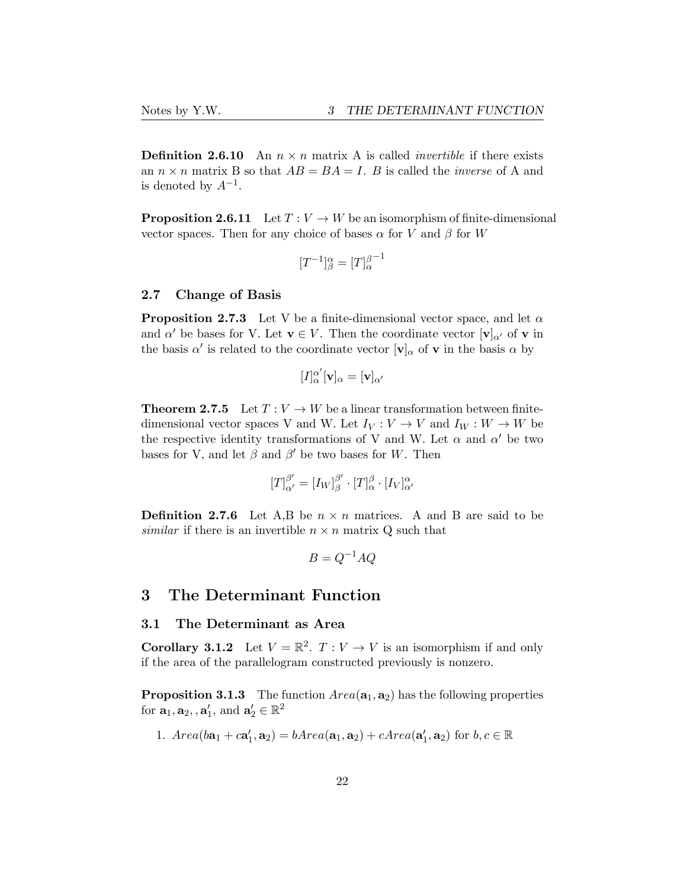**Definition 2.6.10** An  $n \times n$  matrix A is called *invertible* if there exists an  $n \times n$  matrix B so that  $AB = BA = I$ . *B* is called the *inverse* of A and is denoted by  $A^{-1}$ .

**Proposition 2.6.11** Let  $T: V \to W$  be an isomorphism of finite-dimensional vector spaces. Then for any choice of bases  $\alpha$  for *V* and  $\beta$  for *W* 

$$
[T^{-1}]^\alpha_\beta=[T]^{ \beta^{-1}}_\alpha
$$

### <span id="page-21-0"></span>2.7 Change of Basis

**Proposition 2.7.3** Let V be a finite-dimensional vector space, and let  $\alpha$ and  $\alpha'$  be bases for V. Let  $\mathbf{v} \in V$ . Then the coordinate vector  $[\mathbf{v}]_{\alpha'}$  of  $\mathbf{v}$  in the basis  $\alpha'$  is related to the coordinate vector  $[\mathbf{v}]_{\alpha}$  of **v** in the basis  $\alpha$  by

$$
[I]_{\alpha}^{\alpha'}[\mathbf{v}]_{\alpha} = [\mathbf{v}]_{\alpha'}
$$

**Theorem 2.7.5** Let  $T: V \to W$  be a linear transformation between finitedimensional vector spaces V and W. Let  $I_V: V \to V$  and  $I_W: W \to W$  be the respective identity transformations of V and W. Let  $\alpha$  and  $\alpha'$  be two bases for V, and let  $\beta$  and  $\beta'$  be two bases for W. Then

$$
[T]_{\alpha'}^{\beta'} = [I_W]_{\beta}^{\beta'} \cdot [T]_{\alpha}^{\beta} \cdot [I_V]_{\alpha'}^{\alpha}
$$

**Definition 2.7.6** Let A,B be  $n \times n$  matrices. A and B are said to be *similar* if there is an invertible  $n \times n$  matrix Q such that

$$
B = Q^{-1}AQ
$$

### <span id="page-21-1"></span>3 The Determinant Function

### <span id="page-21-2"></span>3.1 The Determinant as Area

**Corollary 3.1.2** Let  $V = \mathbb{R}^2$ .  $T: V \to V$  is an isomorphism if and only if the area of the parallelogram constructed previously is nonzero.

**Proposition 3.1.3** The function  $Area(a_1, a_2)$  has the following properties for  $\mathbf{a}_1, \mathbf{a}_2, \mathbf{a}'_1$ , and  $\mathbf{a}'_2 \in \mathbb{R}^2$ 

1. 
$$
Area(b\mathbf{a}_1 + c\mathbf{a}'_1, \mathbf{a}_2) = bArea(\mathbf{a}_1, \mathbf{a}_2) + cArea(\mathbf{a}'_1, \mathbf{a}_2)
$$
 for  $b, c \in \mathbb{R}$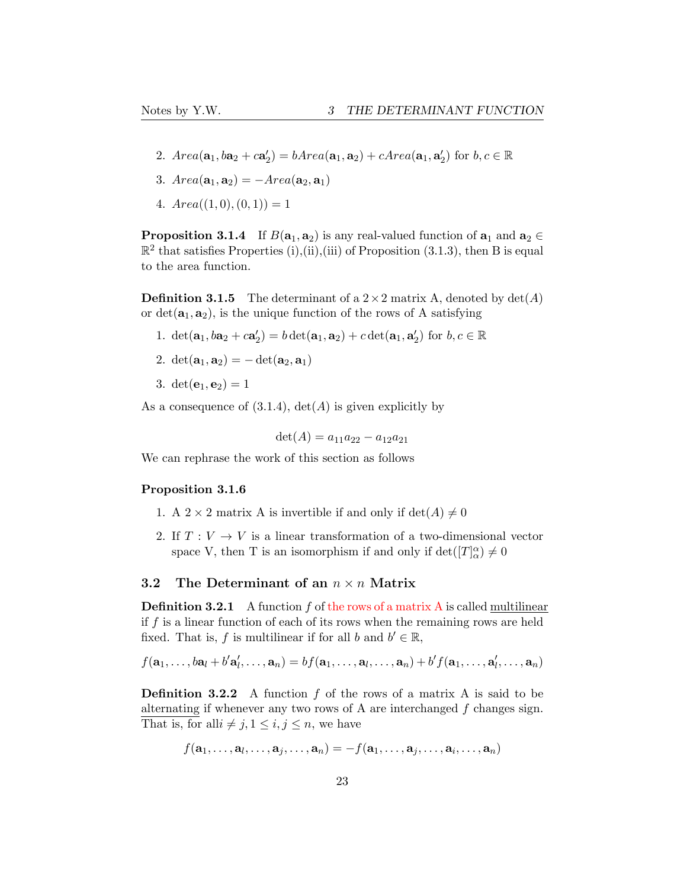- 2.  $Area(a_1, ba_2 + ca'_2) = bArea(a_1, a_2) + cArea(a_1, a'_2)$  for  $b, c \in \mathbb{R}$
- 3.  $Area(a_1, a_2) = -Area(a_2, a_1)$
- 4.  $Area((1,0),(0,1)) = 1$

**Proposition 3.1.4** If  $B(a_1, a_2)$  is any real-valued function of  $a_1$  and  $a_2 \in$  $\mathbb{R}^2$  that satisfies Properties (i),(ii),(iii) of Proposition (3.1.3), then B is equal to the area function.

**Definition 3.1.5** The determinant of a  $2 \times 2$  matrix A, denoted by  $det(A)$ or  $det(\mathbf{a}_1, \mathbf{a}_2)$ , is the unique function of the rows of A satisfying

- 1.  $\det(\mathbf{a}_1, \mathbf{b}\mathbf{a}_2 + \mathbf{c}\mathbf{a}'_2) = b \det(\mathbf{a}_1, \mathbf{a}_2) + c \det(\mathbf{a}_1, \mathbf{a}'_2)$  for  $b, c \in \mathbb{R}$
- 2.  $det(\mathbf{a}_1, \mathbf{a}_2) = -det(\mathbf{a}_2, \mathbf{a}_1)$
- 3.  $det(e_1, e_2) = 1$

As a consequence of  $(3.1.4)$ ,  $det(A)$  is given explicitly by

$$
\det(A) = a_{11}a_{22} - a_{12}a_{21}
$$

We can rephrase the work of this section as follows

### Proposition 3.1.6

- 1. A 2 × 2 matrix A is invertible if and only if  $\det(A) \neq 0$
- 2. If  $T: V \to V$  is a linear transformation of a two-dimensional vector space V, then T is an isomorphism if and only if  $\det([T]_{\alpha}^{\alpha}) \neq 0$

### <span id="page-22-0"></span>3.2 The Determinant of an  $n \times n$  Matrix

**Definition 3.2.1** A function *f* of the rows of a matrix A is called multilinear if *f* is a linear function of each of its rows when the remaining rows are held fixed. That is, *f* is multilinear if for all *b* and  $b' \in \mathbb{R}$ ,

$$
f(\mathbf{a}_1,\ldots,\mathbf{b}\mathbf{a}_l+b'\mathbf{a}'_l,\ldots,\mathbf{a}_n)=bf(\mathbf{a}_1,\ldots,\mathbf{a}_l,\ldots,\mathbf{a}_n)+b'f(\mathbf{a}_1,\ldots,\mathbf{a}'_l,\ldots,\mathbf{a}_n)
$$

Definition 3.2.2 A function *f* of the rows of a matrix A is said to be alternating if whenever any two rows of A are interchanged *f* changes sign. That is, for all $i \neq j, 1 \leq i, j \leq n$ , we have

$$
f(\mathbf{a}_1,\ldots,\mathbf{a}_l,\ldots,\mathbf{a}_j,\ldots,\mathbf{a}_n)=-f(\mathbf{a}_1,\ldots,\mathbf{a}_j,\ldots,\mathbf{a}_i,\ldots,\mathbf{a}_n)
$$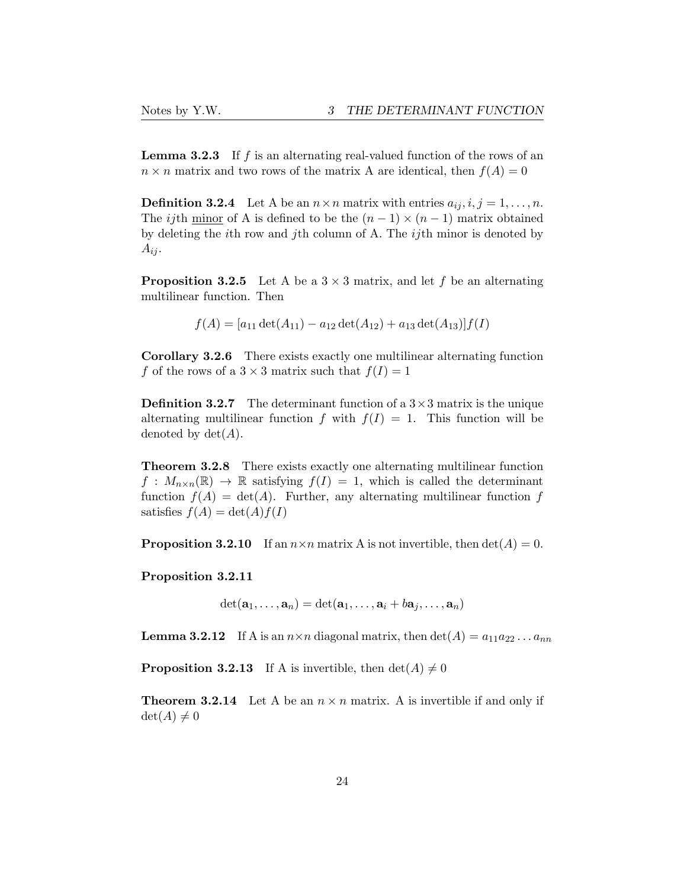Lemma 3.2.3 If f is an alternating real-valued function of the rows of an  $n \times n$  matrix and two rows of the matrix A are identical, then  $f(A) = 0$ 

**Definition 3.2.4** Let A be an  $n \times n$  matrix with entries  $a_{ij}, i, j = 1, \ldots, n$ . The *ij*th minor of A is defined to be the  $(n-1) \times (n-1)$  matrix obtained by deleting the *i*th row and *j*th column of A. The *ij*th minor is denoted by  $A_{ij}$ .

**Proposition 3.2.5** Let A be a  $3 \times 3$  matrix, and let f be an alternating multilinear function. Then

$$
f(A) = [a_{11} \det(A_{11}) - a_{12} \det(A_{12}) + a_{13} \det(A_{13})] f(I)
$$

Corollary 3.2.6 There exists exactly one multilinear alternating function *f* of the rows of a  $3 \times 3$  matrix such that  $f(I) = 1$ 

**Definition 3.2.7** The determinant function of a  $3 \times 3$  matrix is the unique alternating multilinear function *f* with  $f(I) = 1$ . This function will be denoted by  $\det(A)$ .

Theorem 3.2.8 There exists exactly one alternating multilinear function  $f: M_{n \times n}(\mathbb{R}) \to \mathbb{R}$  satisfying  $f(I) = 1$ , which is called the determinant function  $f(A) = \det(A)$ . Further, any alternating multilinear function f satisfies  $f(A) = \det(A)f(I)$ 

**Proposition 3.2.10** If an  $n \times n$  matrix A is not invertible, then  $\det(A) = 0$ .

Proposition 3.2.11

 $\det(\mathbf{a}_1, \ldots, \mathbf{a}_n) = \det(\mathbf{a}_1, \ldots, \mathbf{a}_i + b\mathbf{a}_j, \ldots, \mathbf{a}_n)$ 

**Lemma 3.2.12** If A is an  $n \times n$  diagonal matrix, then  $\det(A) = a_{11}a_{22} \dots a_{nn}$ 

**Proposition 3.2.13** If A is invertible, then  $det(A) \neq 0$ 

**Theorem 3.2.14** Let A be an  $n \times n$  matrix. A is invertible if and only if  $\det(A) \neq 0$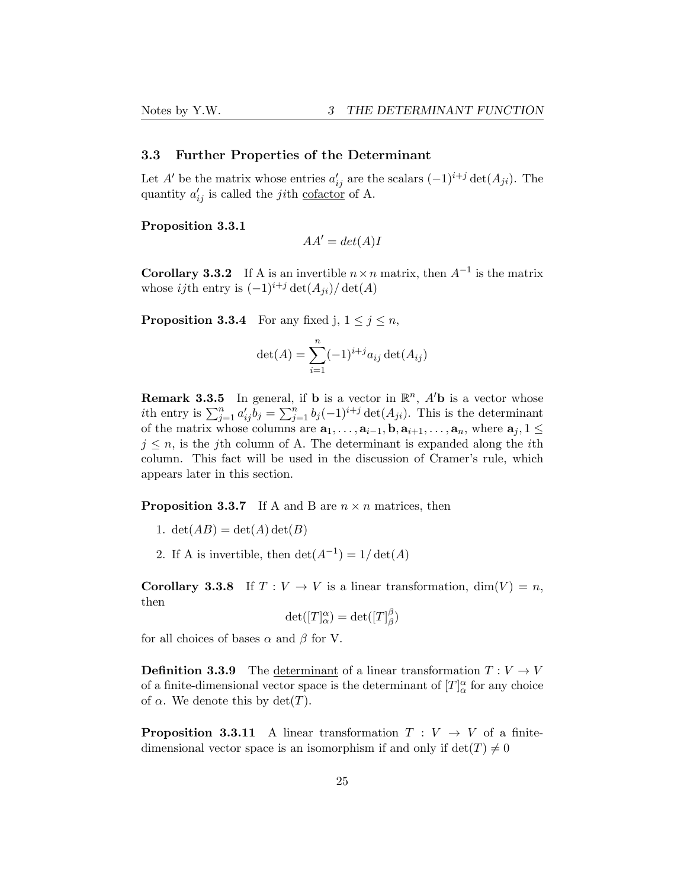### <span id="page-24-0"></span>3.3 Further Properties of the Determinant

Let *A*<sup> $\prime$ </sup> be the matrix whose entries  $a'_{ij}$  are the scalars  $(-1)^{i+j} \det(A_{ji})$ . The quantity  $a'_{ij}$  is called the *ji*th <u>cofactor</u> of A.

### Proposition 3.3.1

$$
AA' = det(A)I
$$

**Corollary 3.3.2** If A is an invertible  $n \times n$  matrix, then  $A^{-1}$  is the matrix whose *ij*th entry is  $(-1)^{i+j} \det(A_{ji}) / \det(A)$ 

**Proposition 3.3.4** For any fixed j,  $1 \leq j \leq n$ ,

$$
\det(A) = \sum_{i=1}^{n} (-1)^{i+j} a_{ij} \det(A_{ij})
$$

**Remark 3.3.5** In general, if **b** is a vector in  $\mathbb{R}^n$ ,  $A'$ **b** is a vector whose *i*th entry is  $\sum_{j=1}^{n} a'_{ij} b_j = \sum_{j=1}^{n} b_j (-1)^{i+j} \det(A_{ji})$ . This is the determinant of the matrix whose columns are  $\mathbf{a}_1, \ldots, \mathbf{a}_{i-1}, \mathbf{b}, \mathbf{a}_{i+1}, \ldots, \mathbf{a}_n$ , where  $\mathbf{a}_j, 1 \leq$  $j \leq n$ , is the *j*th column of A. The determinant is expanded along the *i*th column. This fact will be used in the discussion of Cramer's rule, which appears later in this section.

**Proposition 3.3.7** If A and B are  $n \times n$  matrices, then

- 1.  $\det(AB) = \det(A) \det(B)$
- 2. If A is invertible, then  $\det(A^{-1}) = 1/\det(A)$

**Corollary 3.3.8** If  $T: V \to V$  is a linear transformation, dim(V) = *n*, then

$$
\det([T]^\alpha_\alpha) = \det([T]^\beta_\beta)
$$

for all choices of bases  $\alpha$  and  $\beta$  for V.

**Definition 3.3.9** The determinant of a linear transformation  $T: V \to V$ of a finite-dimensional vector space is the determinant of  $[T]_{\alpha}^{\alpha}$  for any choice of  $\alpha$ . We denote this by  $\det(T)$ .

**Proposition 3.3.11** A linear transformation  $T: V \rightarrow V$  of a finitedimensional vector space is an isomorphism if and only if  $det(T) \neq 0$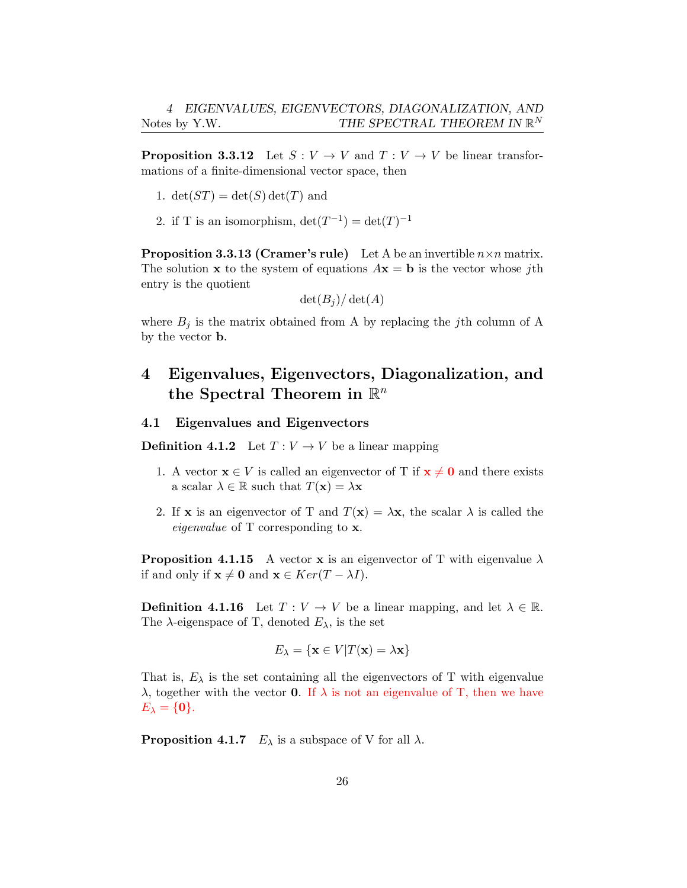**Proposition 3.3.12** Let  $S: V \to V$  and  $T: V \to V$  be linear transformations of a finite-dimensional vector space, then

- 1.  $\det(ST) = \det(S) \det(T)$  and
- 2. if T is an isomorphism,  $\det(T^{-1}) = \det(T)^{-1}$

**Proposition 3.3.13 (Cramer's rule)** Let A be an invertible  $n \times n$  matrix. The solution **x** to the system of equations  $A\mathbf{x} = \mathbf{b}$  is the vector whose *j*th entry is the quotient

$$
\det(B_j)/\det(A)
$$

where  $B_j$  is the matrix obtained from A by replacing the *j*th column of A by the vector b.

# <span id="page-25-0"></span>4 Eigenvalues, Eigenvectors, Diagonalization, and the Spectral Theorem in R*<sup>n</sup>*

### <span id="page-25-1"></span>4.1 Eigenvalues and Eigenvectors

**Definition 4.1.2** Let  $T: V \to V$  be a linear mapping

- 1. A vector  $\mathbf{x} \in V$  is called an eigenvector of T if  $\mathbf{x} \neq \mathbf{0}$  and there exists a scalar  $\lambda \in \mathbb{R}$  such that  $T(\mathbf{x}) = \lambda \mathbf{x}$
- 2. If **x** is an eigenvector of T and  $T(\mathbf{x}) = \lambda \mathbf{x}$ , the scalar  $\lambda$  is called the *eigenvalue* of T corresponding to x.

**Proposition 4.1.15** A vector **x** is an eigenvector of T with eigenvalue  $\lambda$ if and only if  $\mathbf{x} \neq \mathbf{0}$  and  $\mathbf{x} \in \text{Ker}(T - \lambda I)$ .

**Definition 4.1.16** Let  $T: V \to V$  be a linear mapping, and let  $\lambda \in \mathbb{R}$ . The  $\lambda$ -eigenspace of T, denoted  $E_{\lambda}$ , is the set

$$
E_{\lambda} = \{ \mathbf{x} \in V | T(\mathbf{x}) = \lambda \mathbf{x} \}
$$

That is,  $E_{\lambda}$  is the set containing all the eigenvectors of T with eigenvalue λ, together with the vector **0**. If  $\lambda$  is not an eigenvalue of T, then we have  $E_{\lambda} = \{0\}.$ 

**Proposition 4.1.7**  $E_{\lambda}$  is a subspace of V for all  $\lambda$ .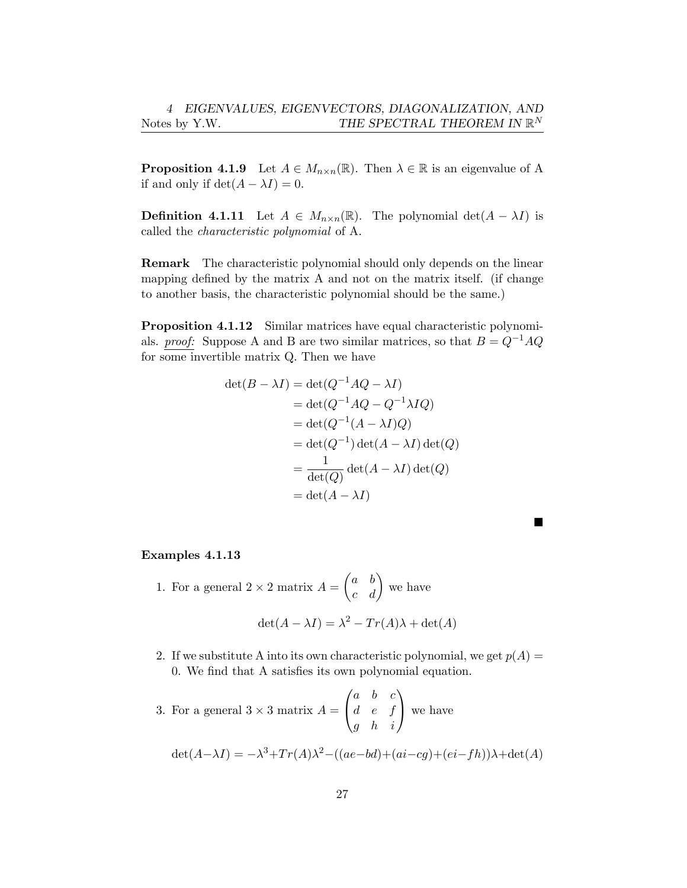**Proposition 4.1.9** Let  $A \in M_{n \times n}(\mathbb{R})$ . Then  $\lambda \in \mathbb{R}$  is an eigenvalue of A if and only if  $\det(A - \lambda I) = 0$ .

**Definition 4.1.11** Let  $A \in M_{n \times n}(\mathbb{R})$ . The polynomial det $(A - \lambda I)$  is called the *characteristic polynomial* of A.

Remark The characteristic polynomial should only depends on the linear mapping defined by the matrix A and not on the matrix itself. (if change to another basis, the characteristic polynomial should be the same.)

Proposition 4.1.12 Similar matrices have equal characteristic polynomials. *proof:* Suppose A and B are two similar matrices, so that  $B = Q^{-1}AQ$ for some invertible matrix Q. Then we have

$$
det(B - \lambda I) = det(Q^{-1}AQ - \lambda I)
$$
  
= det(Q<sup>-1</sup>AQ - Q<sup>-1</sup>\lambda IQ)  
= det(Q<sup>-1</sup>(A - \lambda I)Q)  
= det(Q<sup>-1</sup>) det(A - \lambda I) det(Q)  
= 
$$
\frac{1}{det(Q)} det(A - \lambda I) det(Q)
$$
  
= det(A - \lambda I)

### Examples 4.1.13

- 1. For a general  $2 \times 2$  matrix  $A =$  $\int a b$ *c d*  $\setminus$ we have  $\det(A - \lambda I) = \lambda^2 - Tr(A)\lambda + \det(A)$
- 2. If we substitute A into its own characteristic polynomial, we get  $p(A) =$ 0. We find that A satisfies its own polynomial equation.

3. For a general  $3 \times 3$  matrix  $A =$  $\sqrt{ }$  $\mathbf{I}$ *a b c d e f g h i*  $\setminus$ we have

$$
\det(A - \lambda I) = -\lambda^3 + Tr(A)\lambda^2 - ((ae - bd) + (ai - cg) + (ei - fh))\lambda + \det(A)
$$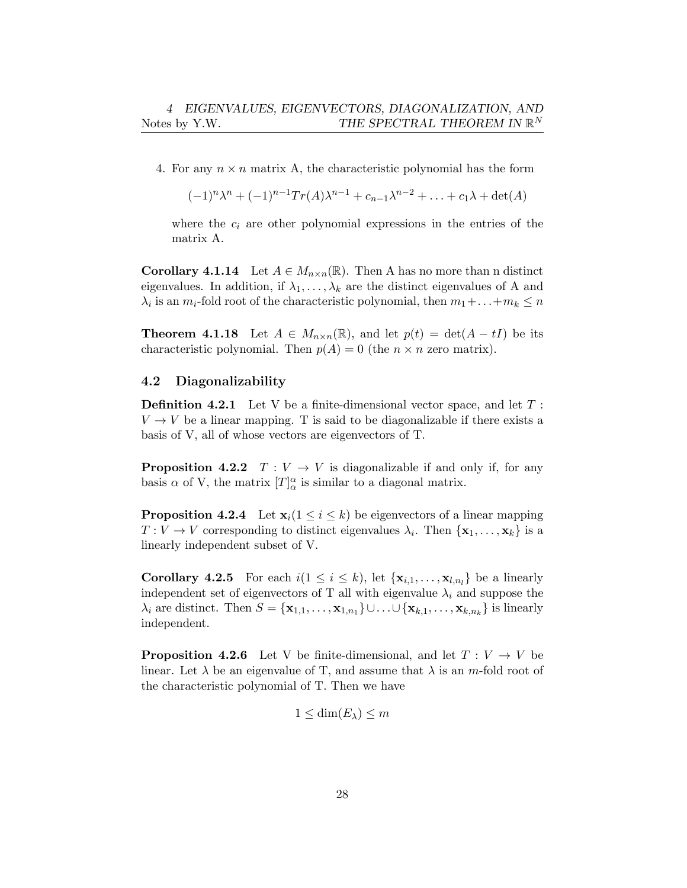4. For any  $n \times n$  matrix A, the characteristic polynomial has the form

$$
(-1)^n \lambda^n + (-1)^{n-1} Tr(A) \lambda^{n-1} + c_{n-1} \lambda^{n-2} + \ldots + c_1 \lambda + \det(A)
$$

where the  $c_i$  are other polynomial expressions in the entries of the matrix A.

**Corollary 4.1.14** Let  $A \in M_{n \times n}(\mathbb{R})$ . Then A has no more than n distinct eigenvalues. In addition, if  $\lambda_1, \ldots, \lambda_k$  are the distinct eigenvalues of A and  $\lambda_i$  is an  $m_i$ -fold root of the characteristic polynomial, then  $m_1 + \ldots + m_k \leq n$ 

**Theorem 4.1.18** Let  $A \in M_{n \times n}(\mathbb{R})$ , and let  $p(t) = \det(A - tI)$  be its characteristic polynomial. Then  $p(A) = 0$  (the  $n \times n$  zero matrix).

### <span id="page-27-0"></span>4.2 Diagonalizability

Definition 4.2.1 Let V be a finite-dimensional vector space, and let *T* :  $V \rightarrow V$  be a linear mapping. T is said to be diagonalizable if there exists a basis of V, all of whose vectors are eigenvectors of T.

**Proposition 4.2.2**  $T: V \to V$  is diagonalizable if and only if, for any basis  $\alpha$  of V, the matrix  $[T]_{\alpha}^{\alpha}$  is similar to a diagonal matrix.

**Proposition 4.2.4** Let  $\mathbf{x}_i (1 \leq i \leq k)$  be eigenvectors of a linear mapping  $T: V \to V$  corresponding to distinct eigenvalues  $\lambda_i$ . Then  $\{x_1, \ldots, x_k\}$  is a linearly independent subset of V.

**Corollary 4.2.5** For each  $i(1 \leq i \leq k)$ , let  $\{x_{i,1},...,x_{l,n_i}\}$  be a linearly independent set of eigenvectors of T all with eigenvalue  $\lambda_i$  and suppose the  $\lambda_i$  are distinct. Then  $S = {\mathbf{x}_{1,1}, \ldots, \mathbf{x}_{1,n_1}} \cup \ldots \cup {\mathbf{x}_{k,1}, \ldots, \mathbf{x}_{k,n_k}}$  is linearly independent.

**Proposition 4.2.6** Let V be finite-dimensional, and let  $T: V \to V$  be linear. Let  $\lambda$  be an eigenvalue of T, and assume that  $\lambda$  is an *m*-fold root of the characteristic polynomial of T. Then we have

$$
1 \le \dim(E_{\lambda}) \le m
$$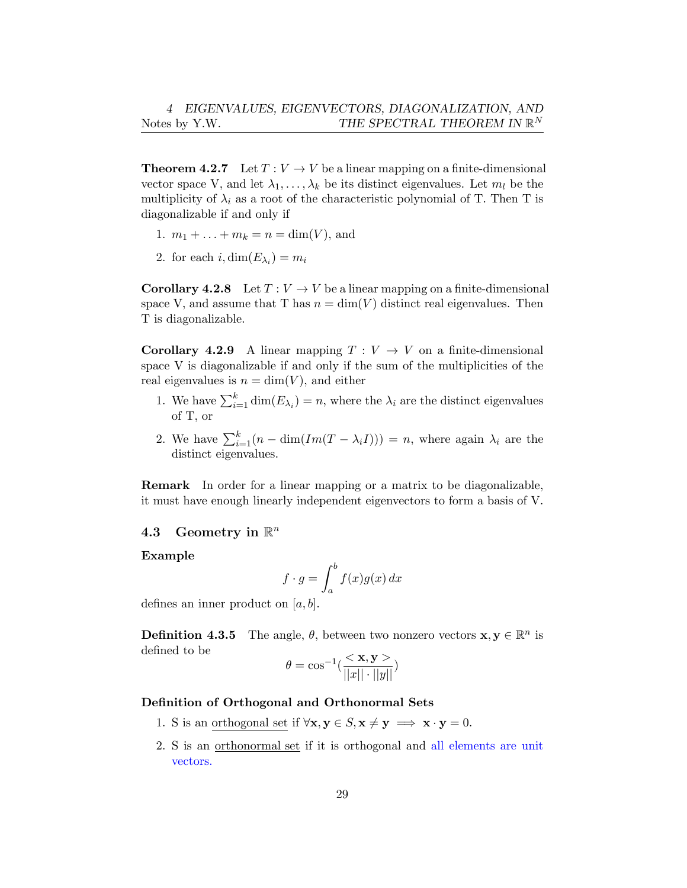**Theorem 4.2.7** Let  $T: V \to V$  be a linear mapping on a finite-dimensional vector space V, and let  $\lambda_1, \ldots, \lambda_k$  be its distinct eigenvalues. Let  $m_l$  be the multiplicity of  $\lambda_i$  as a root of the characteristic polynomial of T. Then T is diagonalizable if and only if

- 1.  $m_1 + \ldots + m_k = n = \dim(V)$ , and
- 2. for each  $i, \dim(E_{\lambda_i}) = m_i$

**Corollary 4.2.8** Let  $T: V \to V$  be a linear mapping on a finite-dimensional space V, and assume that T has  $n = \dim(V)$  distinct real eigenvalues. Then T is diagonalizable.

**Corollary 4.2.9** A linear mapping  $T: V \to V$  on a finite-dimensional space V is diagonalizable if and only if the sum of the multiplicities of the real eigenvalues is  $n = \dim(V)$ , and either

- 1. We have  $\sum_{i=1}^{k} \dim(E_{\lambda_i}) = n$ , where the  $\lambda_i$  are the distinct eigenvalues of T, or
- 2. We have  $\sum_{i=1}^{k} (n \dim(Im(T \lambda_i I))) = n$ , where again  $\lambda_i$  are the distinct eigenvalues.

Remark In order for a linear mapping or a matrix to be diagonalizable, it must have enough linearly independent eigenvectors to form a basis of V.

### <span id="page-28-0"></span>4.3 Geometry in R*<sup>n</sup>*

### Example

$$
f \cdot g = \int_{a}^{b} f(x)g(x) \, dx
$$

defines an inner product on [*a, b*].

**Definition 4.3.5** The angle,  $\theta$ , between two nonzero vectors  $\mathbf{x}, \mathbf{y} \in \mathbb{R}^n$  is defined to be

$$
\theta = \cos^{-1}\left(\frac{<\mathbf{x}, \mathbf{y}>}{\|x\| \cdot \|y\|}\right)
$$

### Definition of Orthogonal and Orthonormal Sets

- 1. S is an orthogonal set if  $\forall x, y \in S, x \neq y \implies x \cdot y = 0$ .
- 2. S is an orthonormal set if it is orthogonal and all elements are unit vectors.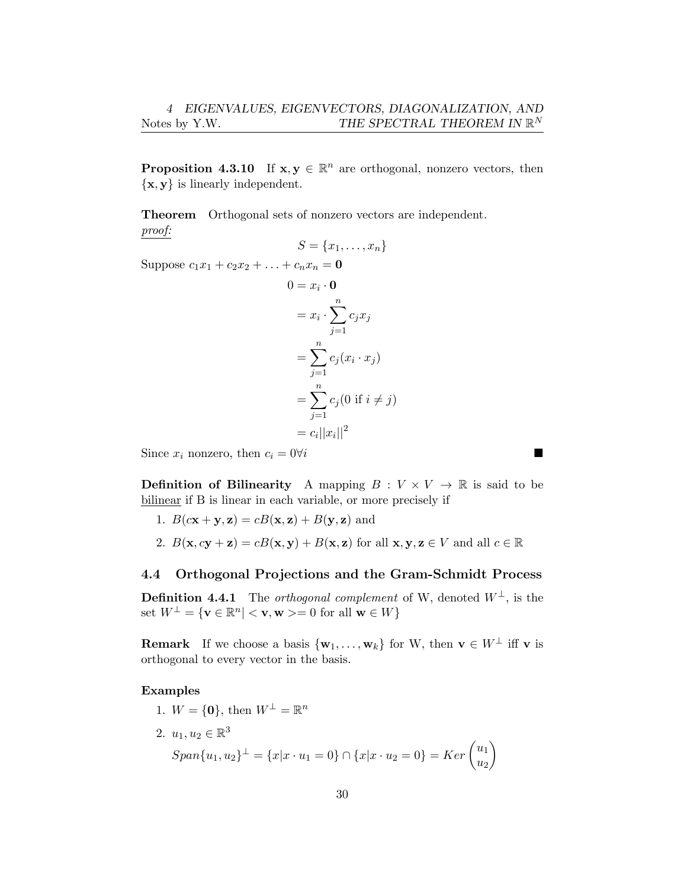**Proposition 4.3.10** If  $x, y \in \mathbb{R}^n$  are orthogonal, nonzero vectors, then *{*x*,* y*}* is linearly independent.

Theorem Orthogonal sets of nonzero vectors are independent. *proof:*

$$
S = \{x_1, \ldots, x_n\}
$$

Suppose  $c_1x_1 + c_2x_2 + \ldots + c_nx_n = 0$ 

$$
0 = x_i \cdot 0
$$
  
=  $x_i \cdot \sum_{j=1}^n c_j x_j$   
=  $\sum_{j=1}^n c_j (x_i \cdot x_j)$   
=  $\sum_{j=1}^n c_j (0 \text{ if } i \neq j)$   
=  $c_i ||x_i||^2$ 

Since  $x_i$  nonzero, then  $c_i = 0 \forall i$ 

**Definition of Bilinearity** A mapping  $B: V \times V \to \mathbb{R}$  is said to be bilinear if B is linear in each variable, or more precisely if

- 1.  $B(c\mathbf{x} + \mathbf{y}, \mathbf{z}) = cB(\mathbf{x}, \mathbf{z}) + B(\mathbf{y}, \mathbf{z})$  and
- 2.  $B(\mathbf{x}, c\mathbf{y} + \mathbf{z}) = cB(\mathbf{x}, \mathbf{y}) + B(\mathbf{x}, \mathbf{z})$  for all  $\mathbf{x}, \mathbf{y}, \mathbf{z} \in V$  and all  $c \in \mathbb{R}$

### <span id="page-29-0"></span>4.4 Orthogonal Projections and the Gram-Schmidt Process

**Definition 4.4.1** The *orthogonal complement* of W, denoted  $W^{\perp}$ , is the set  $W^{\perp} = \{ \mathbf{v} \in \mathbb{R}^n \mid \mathbf{v}, \mathbf{w} \geq 0 \text{ for all } \mathbf{w} \in W \}$ 

**Remark** If we choose a basis  $\{w_1, \ldots, w_k\}$  for W, then  $\mathbf{v} \in W^{\perp}$  iff  $\mathbf{v}$  is orthogonal to every vector in the basis.

### Examples

- 1.  $W = \{0\}$ , then  $W^{\perp} = \mathbb{R}^n$
- 2.  $u_1, u_2 \in \mathbb{R}^3$  $Span\{u_1, u_2\}^\perp = \{x | x \cdot u_1 = 0\} \cap \{x | x \cdot u_2 = 0\} = Ker$

 $\sqrt{u_1}$ *u*2  $\setminus$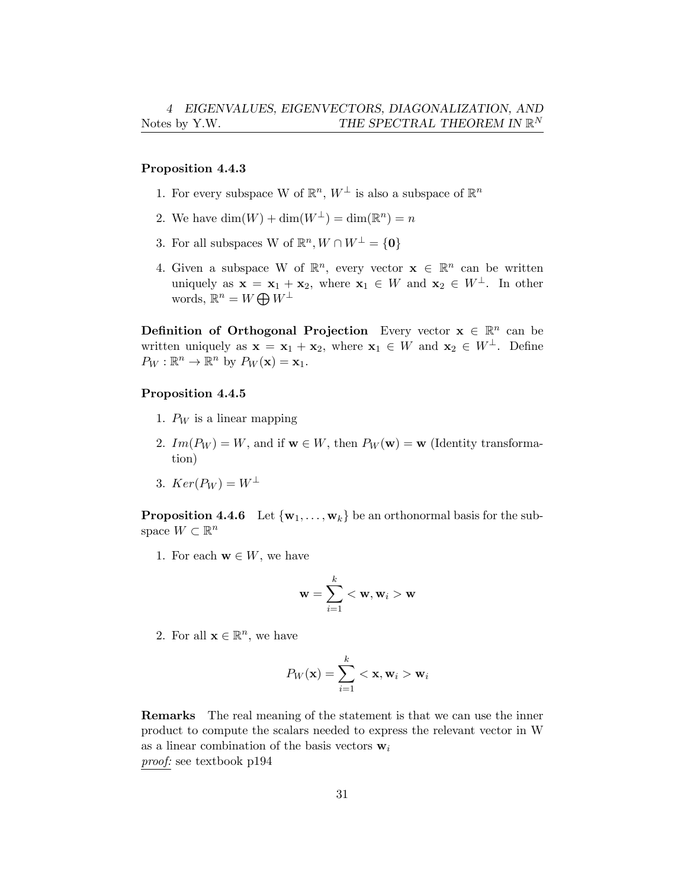### Proposition 4.4.3

- 1. For every subspace W of  $\mathbb{R}^n$ ,  $W^{\perp}$  is also a subspace of  $\mathbb{R}^n$
- 2. We have  $\dim(W) + \dim(W^{\perp}) = \dim(\mathbb{R}^n) = n$
- 3. For all subspaces W of  $\mathbb{R}^n$ ,  $W \cap W^{\perp} = \{0\}$
- 4. Given a subspace W of  $\mathbb{R}^n$ , every vector  $\mathbf{x} \in \mathbb{R}^n$  can be written uniquely as  $\mathbf{x} = \mathbf{x}_1 + \mathbf{x}_2$ , where  $\mathbf{x}_1 \in W$  and  $\mathbf{x}_2 \in W^{\perp}$ . In other words,  $\mathbb{R}^n = W \bigoplus W^{\perp}$

**Definition of Orthogonal Projection** Every vector  $\mathbf{x} \in \mathbb{R}^n$  can be written uniquely as  $\mathbf{x} = \mathbf{x}_1 + \mathbf{x}_2$ , where  $\mathbf{x}_1 \in W$  and  $\mathbf{x}_2 \in W^{\perp}$ . Define  $P_W : \mathbb{R}^n \to \mathbb{R}^n$  by  $P_W(\mathbf{x}) = \mathbf{x}_1$ .

### Proposition 4.4.5

- 1. *P<sup>W</sup>* is a linear mapping
- 2.  $Im(P_W) = W$ , and if  $\mathbf{w} \in W$ , then  $P_W(\mathbf{w}) = \mathbf{w}$  (Identity transformation)
- 3.  $Ker(P_W) = W^{\perp}$

**Proposition 4.4.6** Let  $\{w_1, \ldots, w_k\}$  be an orthonormal basis for the subspace  $W \subset \mathbb{R}^n$ 

1. For each  $\mathbf{w} \in W$ , we have

$$
\mathbf{w} = \sum_{i=1}^k <\mathbf{w}, \mathbf{w}_i > \mathbf{w}
$$

2. For all  $\mathbf{x} \in \mathbb{R}^n$ , we have

$$
P_W(\mathbf{x}) = \sum_{i=1}^k <\mathbf{x}, \mathbf{w}_i > \mathbf{w}_i
$$

Remarks The real meaning of the statement is that we can use the inner product to compute the scalars needed to express the relevant vector in W as a linear combination of the basis vectors w*<sup>i</sup> proof:* see textbook p194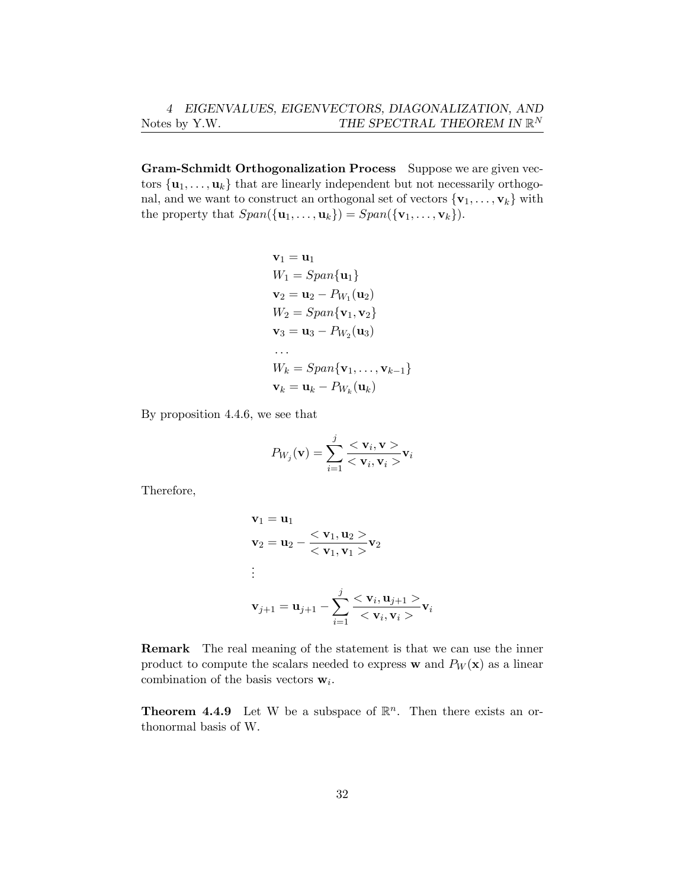Gram-Schmidt Orthogonalization Process Suppose we are given vectors  $\{u_1, \ldots, u_k\}$  that are linearly independent but not necessarily orthogonal, and we want to construct an orthogonal set of vectors  ${\mathbf{v}_1, \ldots, \mathbf{v}_k}$  with the property that  $Span(\{\mathbf{u}_1, \ldots, \mathbf{u}_k\}) = Span(\{\mathbf{v}_1, \ldots, \mathbf{v}_k\}).$ 

$$
\mathbf{v}_1 = \mathbf{u}_1
$$
  
\n
$$
W_1 = Span{\mathbf{u}_1}
$$
  
\n
$$
\mathbf{v}_2 = \mathbf{u}_2 - P_{W_1}(\mathbf{u}_2)
$$
  
\n
$$
W_2 = Span{\mathbf{v}_1, \mathbf{v}_2}
$$
  
\n
$$
\mathbf{v}_3 = \mathbf{u}_3 - P_{W_2}(\mathbf{u}_3)
$$
  
\n...  
\n
$$
W_k = Span{\mathbf{v}_1, \dots, \mathbf{v}_{k-1}}
$$
  
\n
$$
\mathbf{v}_k = \mathbf{u}_k - P_{W_k}(\mathbf{u}_k)
$$

By proposition 4.4.6, we see that

$$
P_{W_j}(\mathbf{v}) = \sum_{i=1}^j \frac{<\mathbf{v}_i, \mathbf{v} \gt \mathbf{v}_i}{<\mathbf{v}_i, \mathbf{v}_i \gt \mathbf{v}_i}
$$

Therefore,

$$
\mathbf{v}_1 = \mathbf{u}_1
$$
  
\n
$$
\mathbf{v}_2 = \mathbf{u}_2 - \frac{< \mathbf{v}_1, \mathbf{u}_2>}{< \mathbf{v}_1, \mathbf{v}_1>} \mathbf{v}_2
$$
  
\n:  
\n:  
\n
$$
\mathbf{v}_{j+1} = \mathbf{u}_{j+1} - \sum_{i=1}^{j} \frac{< \mathbf{v}_i, \mathbf{u}_{j+1}>}{< \mathbf{v}_i, \mathbf{v}_i>} \mathbf{v}_i
$$

Remark The real meaning of the statement is that we can use the inner product to compute the scalars needed to express **w** and  $P_W(\mathbf{x})$  as a linear combination of the basis vectors w*i*.

**Theorem 4.4.9** Let W be a subspace of  $\mathbb{R}^n$ . Then there exists an orthonormal basis of W.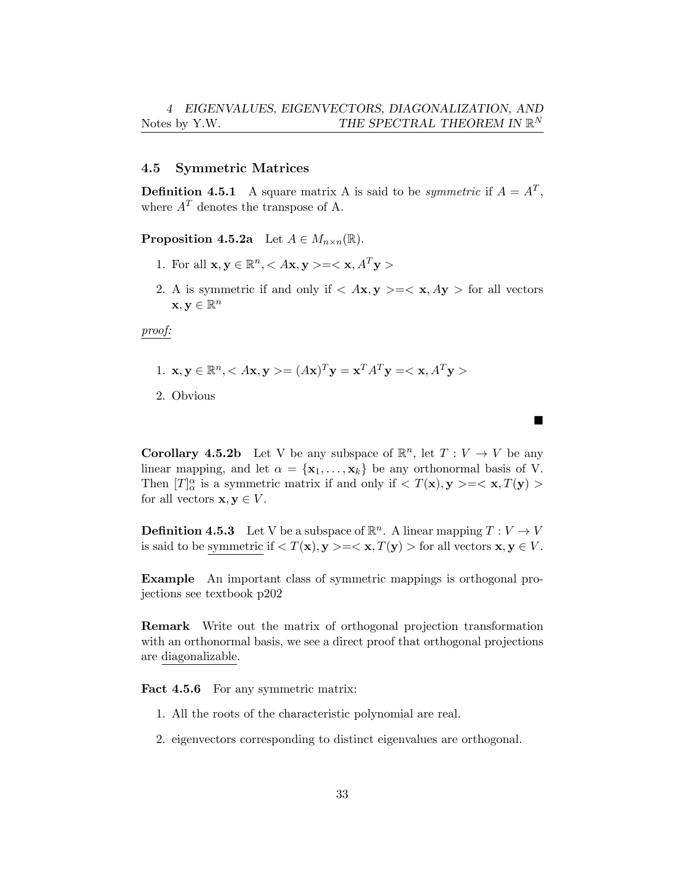### <span id="page-32-0"></span>4.5 Symmetric Matrices

**Definition 4.5.1** A square matrix A is said to be *symmetric* if  $A = A^T$ , where  $A<sup>T</sup>$  denotes the transpose of A.

**Proposition 4.5.2a** Let  $A \in M_{n \times n}(\mathbb{R})$ .

- 1. For all  $\mathbf{x}, \mathbf{y} \in \mathbb{R}^n, \langle Ax, \mathbf{y} \rangle = \langle \mathbf{x}, A^T \mathbf{y} \rangle$
- 2. A is symmetric if and only if  $\langle Ax, y \rangle = \langle x, Ay \rangle$  for all vectors  $\mathbf{x}, \mathbf{y} \in \mathbb{R}^n$

*proof:*

- 1.  $\mathbf{x}, \mathbf{y} \in \mathbb{R}^n, \langle A\mathbf{x}, \mathbf{y} \rangle = (A\mathbf{x})^T \mathbf{y} = \mathbf{x}^T A^T \mathbf{v} = \langle \mathbf{x}, A^T \mathbf{v} \rangle$
- 2. Obvious

**Corollary 4.5.2b** Let V be any subspace of  $\mathbb{R}^n$ , let  $T: V \to V$  be any linear mapping, and let  $\alpha = {\mathbf{x}_1, \ldots, \mathbf{x}_k}$  be any orthonormal basis of V. Then  $[T]_{\alpha}^{\alpha}$  is a symmetric matrix if and only if  $\langle T(\mathbf{x}), \mathbf{y} \rangle = \langle \mathbf{x}, T(\mathbf{y}) \rangle$ for all vectors  $\mathbf{x}, \mathbf{y} \in V$ .

 $\blacksquare$ 

**Definition 4.5.3** Let V be a subspace of  $\mathbb{R}^n$ . A linear mapping  $T: V \to V$ is said to be symmetric if  $\langle T(\mathbf{x}), \mathbf{y} \rangle = \langle \mathbf{x}, T(\mathbf{y}) \rangle$  for all vectors  $\mathbf{x}, \mathbf{y} \in V$ .

Example An important class of symmetric mappings is orthogonal projections see textbook p202

Remark Write out the matrix of orthogonal projection transformation with an orthonormal basis, we see a direct proof that orthogonal projections are diagonalizable.

Fact 4.5.6 For any symmetric matrix:

- 1. All the roots of the characteristic polynomial are real.
- 2. eigenvectors corresponding to distinct eigenvalues are orthogonal.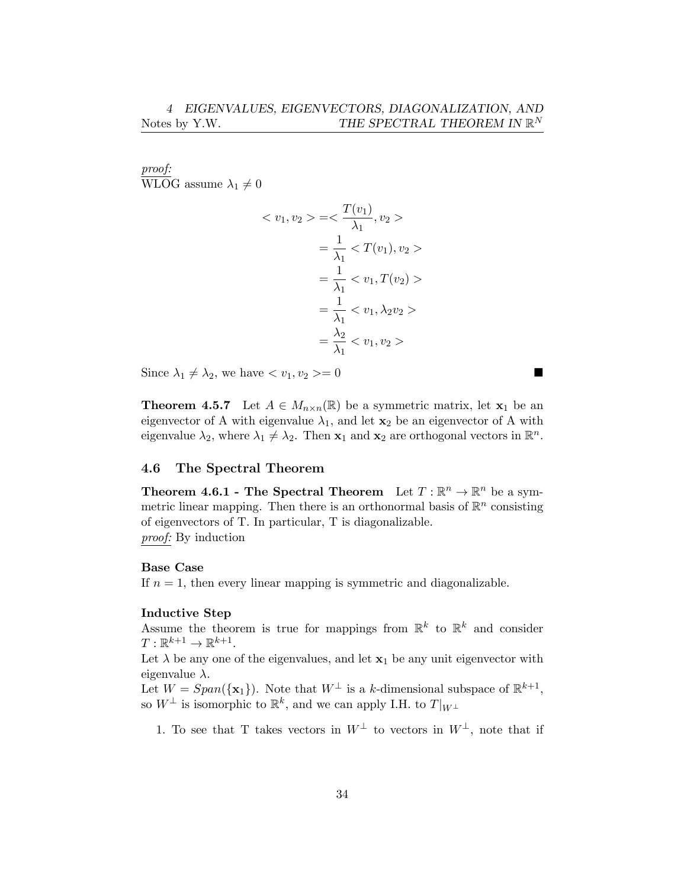*proof:* WLOG assume  $\lambda_1 \neq 0$ 

$$
\langle v_1, v_2 \rangle = \langle \frac{T(v_1)}{\lambda_1}, v_2 \rangle
$$
  
=  $\frac{1}{\lambda_1} \langle T(v_1), v_2 \rangle$   
=  $\frac{1}{\lambda_1} \langle v_1, T(v_2) \rangle$   
=  $\frac{1}{\lambda_1} \langle v_1, \lambda_2 v_2 \rangle$   
=  $\frac{\lambda_2}{\lambda_1} \langle v_1, v_2 \rangle$ 

Since  $\lambda_1 \neq \lambda_2$ , we have  $\langle v_1, v_2 \rangle = 0$ 

**Theorem 4.5.7** Let  $A \in M_{n \times n}(\mathbb{R})$  be a symmetric matrix, let  $\mathbf{x}_1$  be an eigenvector of A with eigenvalue  $\lambda_1$ , and let  $\mathbf{x}_2$  be an eigenvector of A with eigenvalue  $\lambda_2$ , where  $\lambda_1 \neq \lambda_2$ . Then  $\mathbf{x}_1$  and  $\mathbf{x}_2$  are orthogonal vectors in  $\mathbb{R}^n$ .

## <span id="page-33-0"></span>4.6 The Spectral Theorem

**Theorem 4.6.1 - The Spectral Theorem** Let  $T : \mathbb{R}^n \to \mathbb{R}^n$  be a symmetric linear mapping. Then there is an orthonormal basis of  $\mathbb{R}^n$  consisting of eigenvectors of T. In particular, T is diagonalizable. *proof:* By induction

### Base Case

If  $n = 1$ , then every linear mapping is symmetric and diagonalizable.

### Inductive Step

Assume the theorem is true for mappings from  $\mathbb{R}^k$  to  $\mathbb{R}^k$  and consider  $T: \mathbb{R}^{k+1} \to \mathbb{R}^{k+1}$ .

Let  $\lambda$  be any one of the eigenvalues, and let  $x_1$  be any unit eigenvector with eigenvalue  $\lambda$ .

Let  $W = Span({\mathbf{x}_1})$ . Note that  $W^{\perp}$  is a *k*-dimensional subspace of  $\mathbb{R}^{k+1}$ , so  $W^{\perp}$  is isomorphic to  $\mathbb{R}^{k}$ , and we can apply I.H. to  $T|_{W^{\perp}}$ 

1. To see that T takes vectors in  $W^{\perp}$  to vectors in  $W^{\perp}$ , note that if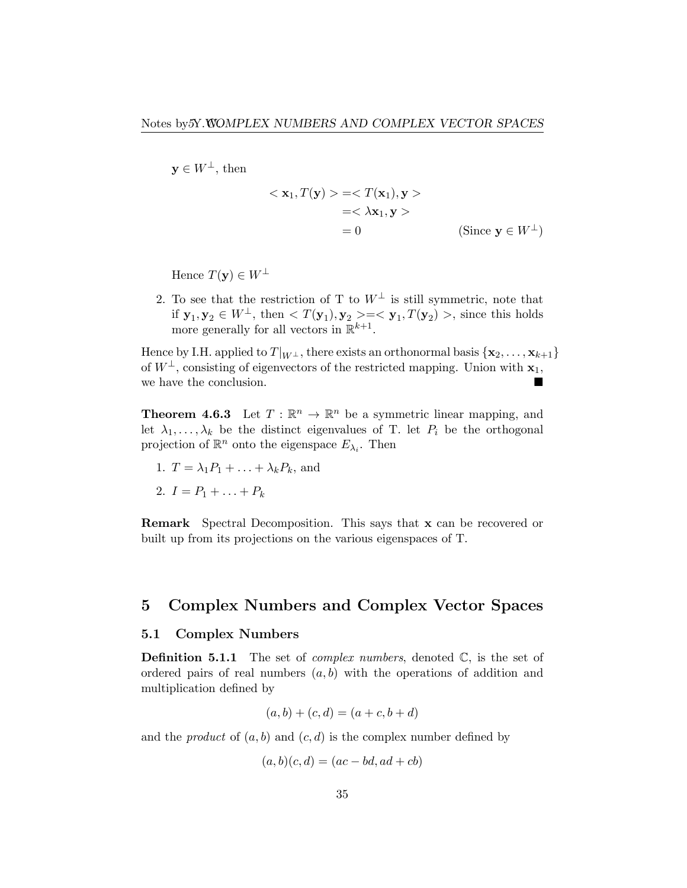$y \in W^{\perp}$ , then

$$
\langle \mathbf{x}_1, T(\mathbf{y}) \rangle = \langle T(\mathbf{x}_1), \mathbf{y} \rangle
$$
  
=\langle \lambda \mathbf{x}\_1, \mathbf{y} \rangle  
= 0 \qquad \qquad (\text{Since } \mathbf{y} \in W^{\perp})

Hence  $T(y) \in W^{\perp}$ 

2. To see that the restriction of T to  $W^{\perp}$  is still symmetric, note that if  $\mathbf{y}_1, \mathbf{y}_2 \in W^{\perp}$ , then  $\langle T(\mathbf{y}_1), \mathbf{y}_2 \rangle = \langle \mathbf{y}_1, T(\mathbf{y}_2) \rangle$ , since this holds more generally for all vectors in  $\mathbb{R}^{k+1}$ .

Hence by I.H. applied to  $T|_{W^{\perp}}$ , there exists an orthonormal basis  $\{x_2, \ldots, x_{k+1}\}\$ of  $W^{\perp}$ , consisting of eigenvectors of the restricted mapping. Union with  $x_1$ , we have the conclusion.

**Theorem 4.6.3** Let  $T : \mathbb{R}^n \to \mathbb{R}^n$  be a symmetric linear mapping, and let  $\lambda_1, \ldots, \lambda_k$  be the distinct eigenvalues of T. let  $P_i$  be the orthogonal projection of  $\mathbb{R}^n$  onto the eigenspace  $E_{\lambda_i}$ . Then

- 1.  $T = \lambda_1 P_1 + \ldots + \lambda_k P_k$ , and
- 2.  $I = P_1 + \ldots + P_k$

Remark Spectral Decomposition. This says that x can be recovered or built up from its projections on the various eigenspaces of T.

# <span id="page-34-0"></span>5 Complex Numbers and Complex Vector Spaces

### <span id="page-34-1"></span>5.1 Complex Numbers

**Definition 5.1.1** The set of *complex numbers*, denoted  $\mathbb{C}$ , is the set of ordered pairs of real numbers  $(a, b)$  with the operations of addition and multiplication defined by

$$
(a, b) + (c, d) = (a + c, b + d)
$$

and the *product* of  $(a, b)$  and  $(c, d)$  is the complex number defined by

$$
(a, b)(c, d) = (ac - bd, ad + cb)
$$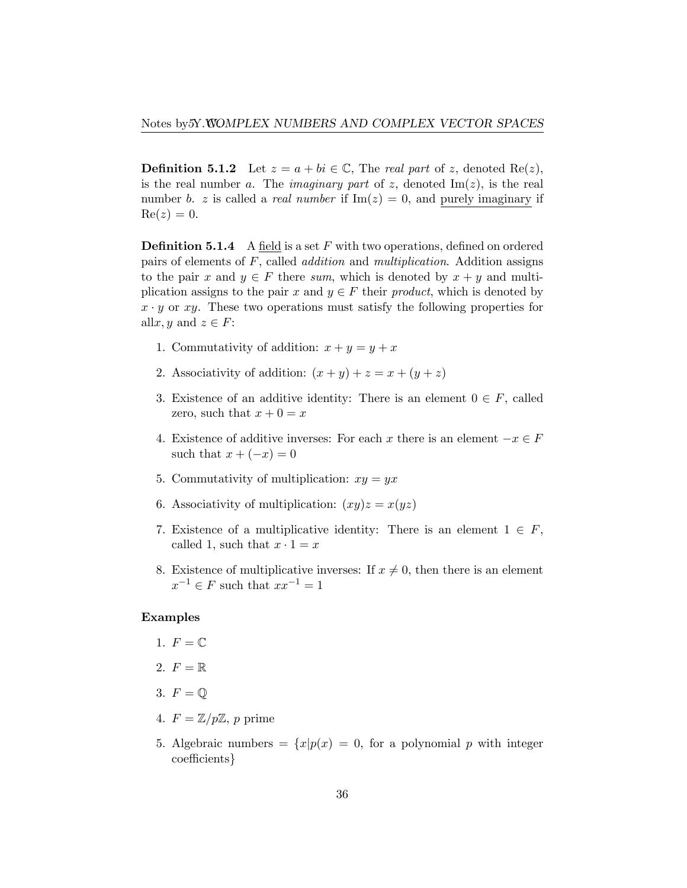**Definition 5.1.2** Let  $z = a + bi \in \mathbb{C}$ , The *real part* of *z*, denoted Re(*z*), is the real number *a*. The *imaginary* part of *z*, denoted  $\text{Im}(z)$ , is the real number *b. z* is called a *real number* if  $\text{Im}(z) = 0$ , and purely imaginary if  $Re(z) = 0.$ 

**Definition 5.1.4** A field is a set F with two operations, defined on ordered pairs of elements of *F*, called *addition* and *multiplication*. Addition assigns to the pair *x* and  $y \in F$  there *sum*, which is denoted by  $x + y$  and multiplication assigns to the pair *x* and  $y \in F$  their *product*, which is denoted by  $x \cdot y$  or *xy*. These two operations must satisfy the following properties for all*x*, *y* and  $z \in F$ :

- 1. Commutativity of addition:  $x + y = y + x$
- 2. Associativity of addition:  $(x + y) + z = x + (y + z)$
- 3. Existence of an additive identity: There is an element  $0 \in F$ , called zero, such that  $x + 0 = x$
- 4. Existence of additive inverses: For each *x* there is an element  $-x \in F$ such that  $x + (-x) = 0$
- 5. Commutativity of multiplication:  $xy = yx$
- 6. Associativity of multiplication:  $(xy)z = x(yz)$
- 7. Existence of a multiplicative identity: There is an element  $1 \in F$ , called 1, such that  $x \cdot 1 = x$
- 8. Existence of multiplicative inverses: If  $x \neq 0$ , then there is an element  $x^{-1} \in F$  such that  $xx^{-1} = 1$

### Examples

- 1.  $F = \mathbb{C}$
- 2.  $F = \mathbb{R}$
- 3.  $F = \mathbb{Q}$
- 4.  $F = \mathbb{Z}/p\mathbb{Z}$ , p prime
- 5. Algebraic numbers =  $\{x|p(x) = 0, \text{ for a polynomial } p \text{ with integer }$ coefficients*}*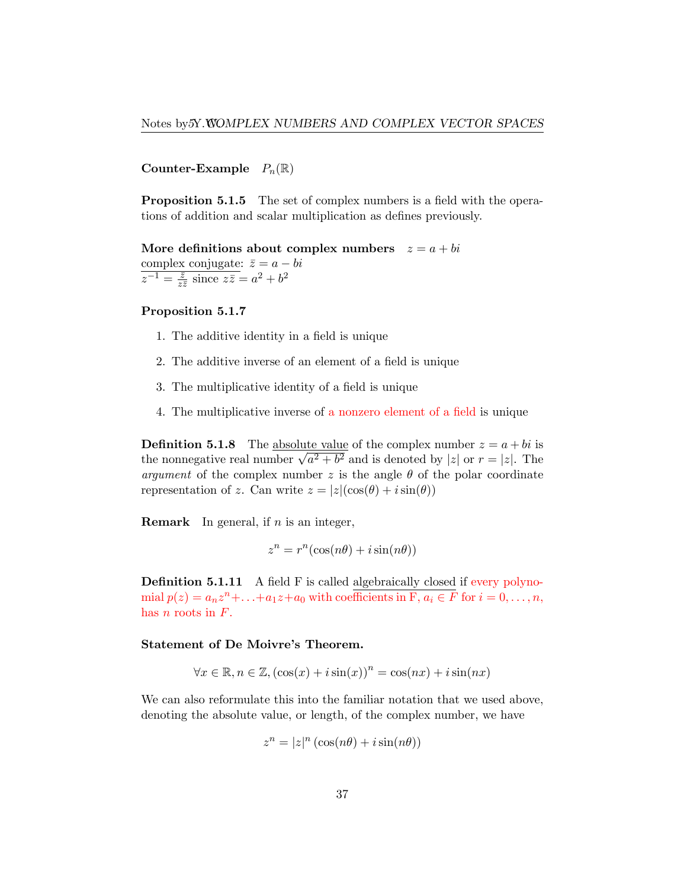Counter-Example  $P_n(\mathbb{R})$ 

**Proposition 5.1.5** The set of complex numbers is a field with the operations of addition and scalar multiplication as defines previously.

More definitions about complex numbers  $z = a + bi$ complex conjugate:  $\bar{z} = a - bi$  $z^{-1} = \frac{\bar{z}}{z\bar{z}}$  since  $z\bar{z} = a^2 + b^2$ 

## Proposition 5.1.7

- 1. The additive identity in a field is unique
- 2. The additive inverse of an element of a field is unique
- 3. The multiplicative identity of a field is unique
- 4. The multiplicative inverse of a nonzero element of a field is unique

**Definition 5.1.8** The absolute value of the complex number  $z = a + bi$  is the nonnegative real number  $\sqrt{a^2 + b^2}$  and is denoted by  $|z|$  or  $r = |z|$ . The *argument* of the complex number  $z$  is the angle  $\theta$  of the polar coordinate representation of *z*. Can write  $z = |z|(\cos(\theta) + i\sin(\theta))$ 

Remark In general, if *n* is an integer,

$$
z^n = r^n(\cos(n\theta) + i\sin(n\theta))
$$

**Definition 5.1.11** A field F is called algebraically closed if every polynomial  $p(z) = a_n z^n + \ldots + a_1 z + a_0$  with coefficients in F,  $a_i \in F$  for  $i = 0, \ldots, n$ , has *n* roots in *F*.

### Statement of De Moivre's Theorem.

$$
\forall x \in \mathbb{R}, n \in \mathbb{Z}, (\cos(x) + i\sin(x))^n = \cos(nx) + i\sin(nx)
$$

We can also reformulate this into the familiar notation that we used above, denoting the absolute value, or length, of the complex number, we have

$$
z^n = |z|^n (\cos(n\theta) + i\sin(n\theta))
$$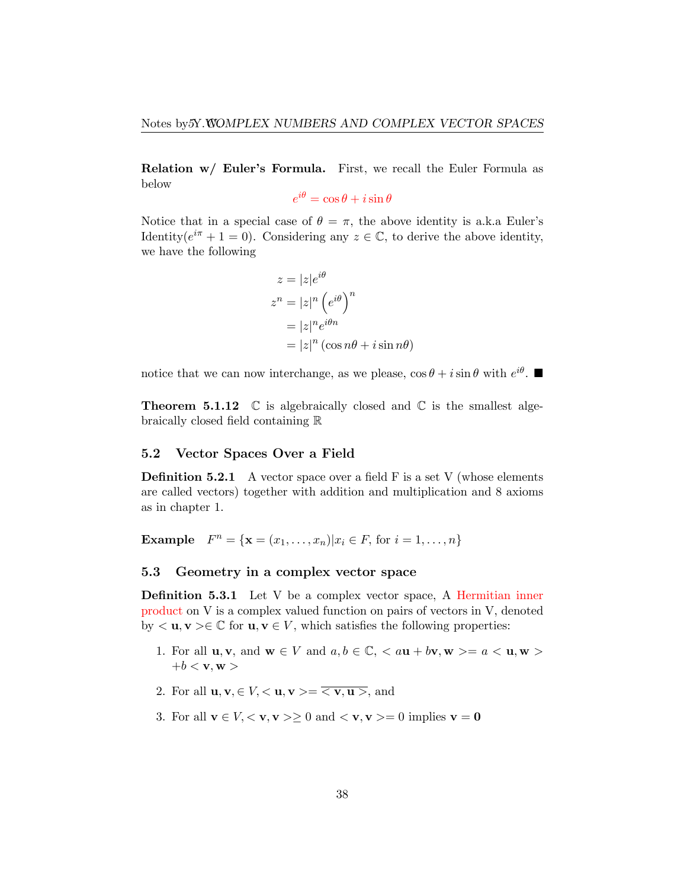Relation w/ Euler's Formula. First, we recall the Euler Formula as below

 $e^{i\theta} = \cos \theta + i \sin \theta$ 

Notice that in a special case of  $\theta = \pi$ , the above identity is a.k.a Euler's Identity( $e^{i\pi} + 1 = 0$ ). Considering any  $z \in \mathbb{C}$ , to derive the above identity, we have the following

$$
z = |z|e^{i\theta}
$$
  
\n
$$
z^n = |z|^n (e^{i\theta})^n
$$
  
\n
$$
= |z|^n e^{i\theta n}
$$
  
\n
$$
= |z|^n (\cos n\theta + i \sin n\theta)
$$

notice that we can now interchange, as we please,  $\cos \theta + i \sin \theta$  with  $e^{i\theta}$ .

**Theorem 5.1.12**  $\mathbb C$  is algebraically closed and  $\mathbb C$  is the smallest algebraically closed field containing R

### <span id="page-37-0"></span>5.2 Vector Spaces Over a Field

**Definition 5.2.1** A vector space over a field  $F$  is a set  $V$  (whose elements are called vectors) together with addition and multiplication and 8 axioms as in chapter 1.

**Example**  $F^n = \{ \mathbf{x} = (x_1, ..., x_n) | x_i \in F, \text{ for } i = 1, ..., n \}$ 

### <span id="page-37-1"></span>5.3 Geometry in a complex vector space

Definition 5.3.1 Let V be a complex vector space, A Hermitian inner product on V is a complex valued function on pairs of vectors in V, denoted by  $\langle \mathbf{u}, \mathbf{v} \rangle \in \mathbb{C}$  for  $\mathbf{u}, \mathbf{v} \in V$ , which satisfies the following properties:

- 1. For all  $\mathbf{u}, \mathbf{v}, \text{ and } \mathbf{w} \in V \text{ and } a, b \in \mathbb{C}, \langle a\mathbf{u}+b\mathbf{v}, \mathbf{w}\rangle = a \langle \mathbf{u}, \mathbf{w}\rangle$  $+b < v, w >$
- 2. For all  $\mathbf{u}, \mathbf{v}, \in V, \langle \mathbf{u}, \mathbf{v} \rangle = \langle \mathbf{v}, \mathbf{u} \rangle$ , and
- 3. For all  $\mathbf{v} \in V, \langle \mathbf{v}, \mathbf{v} \rangle > 0$  and  $\langle \mathbf{v}, \mathbf{v} \rangle = 0$  implies  $\mathbf{v} = \mathbf{0}$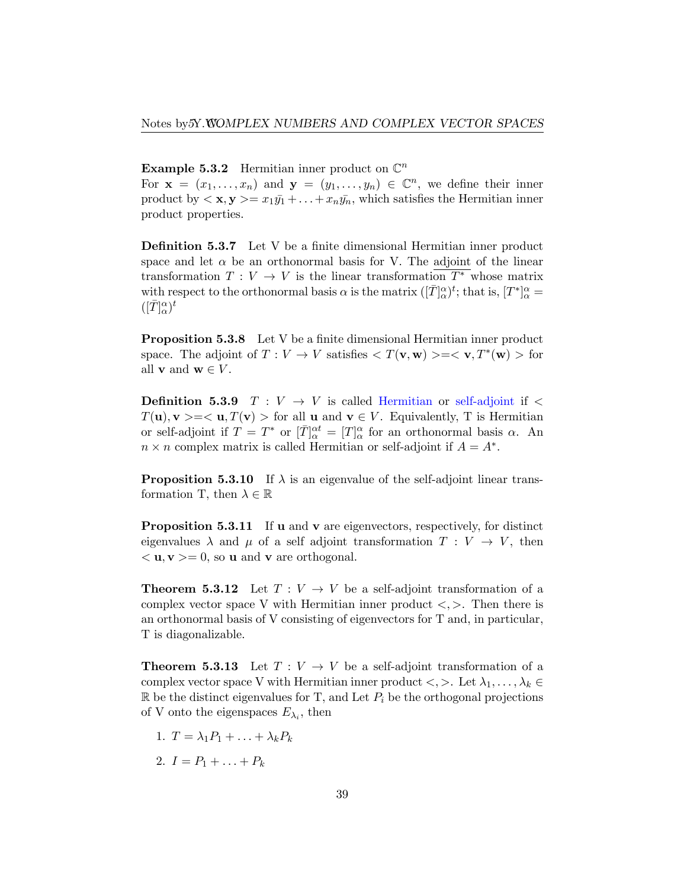**Example 5.3.2** Hermitian inner product on  $\mathbb{C}^n$ 

For  $\mathbf{x} = (x_1, \ldots, x_n)$  and  $\mathbf{y} = (y_1, \ldots, y_n) \in \mathbb{C}^n$ , we define their inner product by  $\langle \mathbf{x}, \mathbf{y} \rangle = x_1 \bar{y_1} + \ldots + x_n \bar{y_n}$ , which satisfies the Hermitian inner product properties.

Definition 5.3.7 Let V be a finite dimensional Hermitian inner product space and let  $\alpha$  be an orthonormal basis for V. The adjoint of the linear transformation  $T: V \to V$  is the linear transformation  $T^*$  whose matrix with respect to the orthonormal basis  $\alpha$  is the matrix  $([\bar{T}]^{\alpha}_{\alpha})^t$ ; that is,  $[T^*]^{\alpha}_{\alpha} =$  $([\bar{T}]^\alpha_\alpha)^t$ 

Proposition 5.3.8 Let V be a finite dimensional Hermitian inner product space. The adjoint of  $T: V \to V$  satisfies  $\langle T(\mathbf{v}, \mathbf{w}) \rangle = \langle \mathbf{v}, T^*(\mathbf{w}) \rangle$  for all **v** and **w**  $\in$  *V*.

**Definition 5.3.9**  $T: V \rightarrow V$  is called Hermitian or self-adjoint if  $\leq$ *T*(**u**), **v** > =  $\lt$  **u**, *T*(**v**) > for all **u** and **v**  $\in$  *V*. Equivalently, T is Hermitian or self-adjoint if  $T = T^*$  or  $[\bar{T}]^{\alpha t}_{\alpha} = [T]^{\alpha}_{\alpha}$  for an orthonormal basis  $\alpha$ . An  $n \times n$  complex matrix is called Hermitian or self-adjoint if  $A = A^*$ .

**Proposition 5.3.10** If  $\lambda$  is an eigenvalue of the self-adjoint linear transformation T, then  $\lambda \in \mathbb{R}$ 

**Proposition 5.3.11** If **u** and **v** are eigenvectors, respectively, for distinct eigenvalues  $\lambda$  and  $\mu$  of a self adjoint transformation  $T: V \to V$ , then  $\langle \mathbf{u}, \mathbf{v} \rangle = 0$ , so **u** and **v** are orthogonal.

**Theorem 5.3.12** Let  $T: V \to V$  be a self-adjoint transformation of a complex vector space V with Hermitian inner product  $\langle , \rangle$ . Then there is an orthonormal basis of V consisting of eigenvectors for T and, in particular, T is diagonalizable.

**Theorem 5.3.13** Let  $T: V \to V$  be a self-adjoint transformation of a complex vector space V with Hermitian inner product  $\langle , \rangle$ . Let  $\lambda_1, \ldots, \lambda_k \in$  $\mathbb{R}$  be the distinct eigenvalues for T, and Let  $P_i$  be the orthogonal projections of V onto the eigenspaces  $E_{\lambda_i}$ , then

- 1.  $T = \lambda_1 P_1 + \ldots + \lambda_k P_k$
- 2.  $I = P_1 + \ldots + P_k$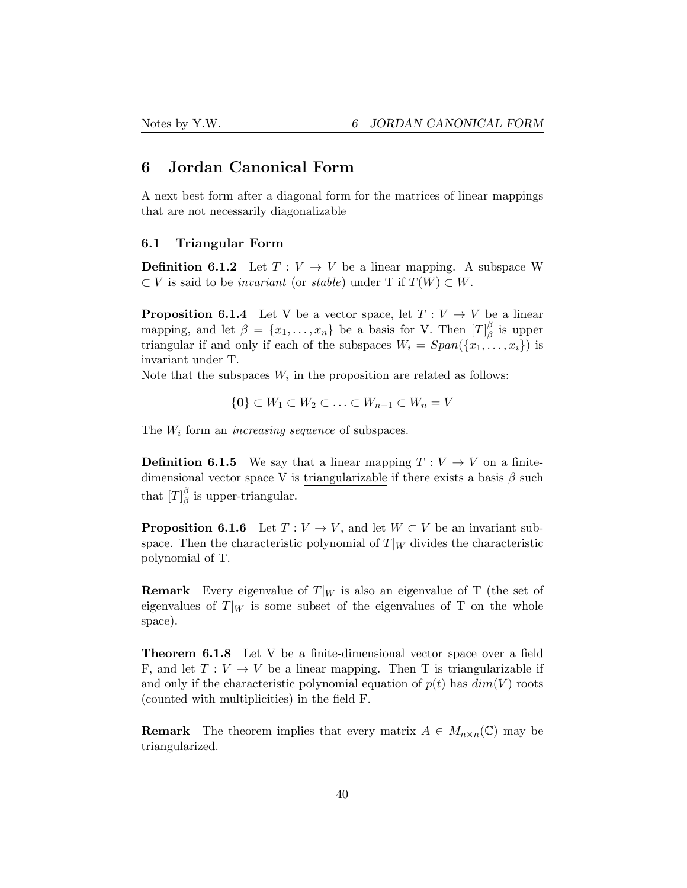# <span id="page-39-0"></span>6 Jordan Canonical Form

A next best form after a diagonal form for the matrices of linear mappings that are not necessarily diagonalizable

### <span id="page-39-1"></span>6.1 Triangular Form

**Definition 6.1.2** Let  $T: V \to V$  be a linear mapping. A subspace W  $\subset V$  is said to be *invariant* (or *stable*) under T if  $T(W) \subset W$ .

**Proposition 6.1.4** Let V be a vector space, let  $T: V \to V$  be a linear mapping, and let  $\beta = \{x_1, \ldots, x_n\}$  be a basis for V. Then  $[T]_{\beta}^{\beta}$  is upper triangular if and only if each of the subspaces  $W_i = Span({x_1, \ldots, x_i})$  is invariant under T.

Note that the subspaces  $W_i$  in the proposition are related as follows:

$$
\{0\} \subset W_1 \subset W_2 \subset \ldots \subset W_{n-1} \subset W_n = V
$$

The *W<sup>i</sup>* form an *increasing sequence* of subspaces.

**Definition 6.1.5** We say that a linear mapping  $T: V \to V$  on a finitedimensional vector space V is triangularizable if there exists a basis  $\beta$  such that  $[T]_{\beta}^{\beta}$  is upper-triangular.

**Proposition 6.1.6** Let  $T: V \to V$ , and let  $W \subset V$  be an invariant subspace. Then the characteristic polynomial of  $T|_W$  divides the characteristic polynomial of T.

**Remark** Every eigenvalue of  $T|_W$  is also an eigenvalue of T (the set of eigenvalues of  $T|_W$  is some subset of the eigenvalues of T on the whole space).

Theorem 6.1.8 Let V be a finite-dimensional vector space over a field F, and let  $T: V \to V$  be a linear mapping. Then T is triangularizable if and only if the characteristic polynomial equation of  $p(t)$  has  $dim(V)$  roots (counted with multiplicities) in the field F.

**Remark** The theorem implies that every matrix  $A \in M_{n \times n}(\mathbb{C})$  may be triangularized.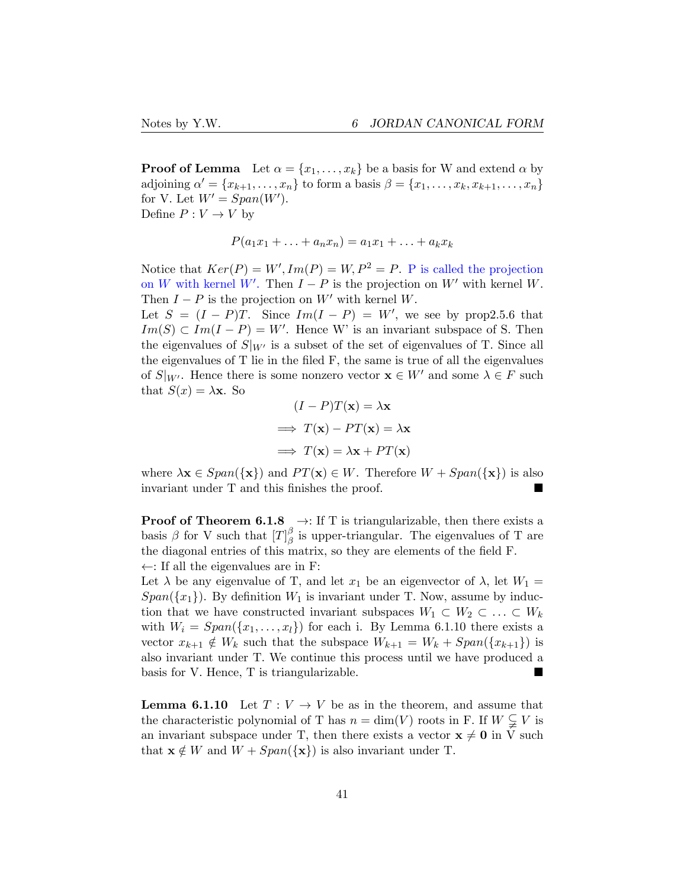**Proof of Lemma** Let  $\alpha = \{x_1, \ldots, x_k\}$  be a basis for W and extend  $\alpha$  by adjoining  $\alpha' = \{x_{k+1}, \ldots, x_n\}$  to form a basis  $\beta = \{x_1, \ldots, x_k, x_{k+1}, \ldots, x_n\}$ for V. Let  $W' = Span(W')$ . Define  $P: V \to V$  by

$$
P(a_1x_1+\ldots+a_nx_n)=a_1x_1+\ldots+a_kx_k
$$

Notice that  $Ker(P) = W', Im(P) = W, P^2 = P$ . P is called the projection on *W* with kernel *W'*. Then  $I - P$  is the projection on *W'* with kernel *W*. Then  $I - P$  is the projection on  $W'$  with kernel  $W$ .

Let  $S = (I - P)T$ . Since  $Im(I - P) = W'$ , we see by prop2.5.6 that  $Im(S) \subset Im(I - P) = W'$ . Hence W' is an invariant subspace of S. Then the eigenvalues of  $S|_{W'}$  is a subset of the set of eigenvalues of T. Since all the eigenvalues of T lie in the filed F, the same is true of all the eigenvalues of  $S|_{W'}$ . Hence there is some nonzero vector  $\mathbf{x} \in W'$  and some  $\lambda \in F$  such that  $S(x) = \lambda x$ . So

$$
(I - P)T(\mathbf{x}) = \lambda \mathbf{x}
$$
  
\n
$$
\implies T(\mathbf{x}) - PT(\mathbf{x}) = \lambda \mathbf{x}
$$
  
\n
$$
\implies T(\mathbf{x}) = \lambda \mathbf{x} + PT(\mathbf{x})
$$

where  $\lambda \mathbf{x} \in Span(\{\mathbf{x}\})$  and  $PT(\mathbf{x}) \in W$ . Therefore  $W + Span(\{\mathbf{x}\})$  is also invariant under T and this finishes the proof.

**Proof of Theorem 6.1.8**  $\rightarrow$ : If T is triangularizable, then there exists a basis  $\beta$  for V such that  $[T]_{\beta}^{\beta}$  is upper-triangular. The eigenvalues of T are the diagonal entries of this matrix, so they are elements of the field F.  $\leftarrow$ : If all the eigenvalues are in F:

Let  $\lambda$  be any eigenvalue of T, and let  $x_1$  be an eigenvector of  $\lambda$ , let  $W_1 =$  $Span({x_1})$ . By definition  $W_1$  is invariant under T. Now, assume by induction that we have constructed invariant subspaces  $W_1 \subset W_2 \subset \ldots \subset W_k$ with  $W_i = Span({x_1, \ldots, x_l})$  for each i. By Lemma 6.1.10 there exists a vector  $x_{k+1} \notin W_k$  such that the subspace  $W_{k+1} = W_k + Span(\{x_{k+1}\})$  is also invariant under T. We continue this process until we have produced a basis for V. Hence, T is triangularizable.

**Lemma 6.1.10** Let  $T: V \to V$  be as in the theorem, and assume that the characteristic polynomial of T has  $n = \dim(V)$  roots in F. If  $W \subsetneq V$  is an invariant subspace under T, then there exists a vector  $x \neq 0$  in V such that  $\mathbf{x} \notin W$  and  $W + Span({\mathbf{x}})$  is also invariant under T.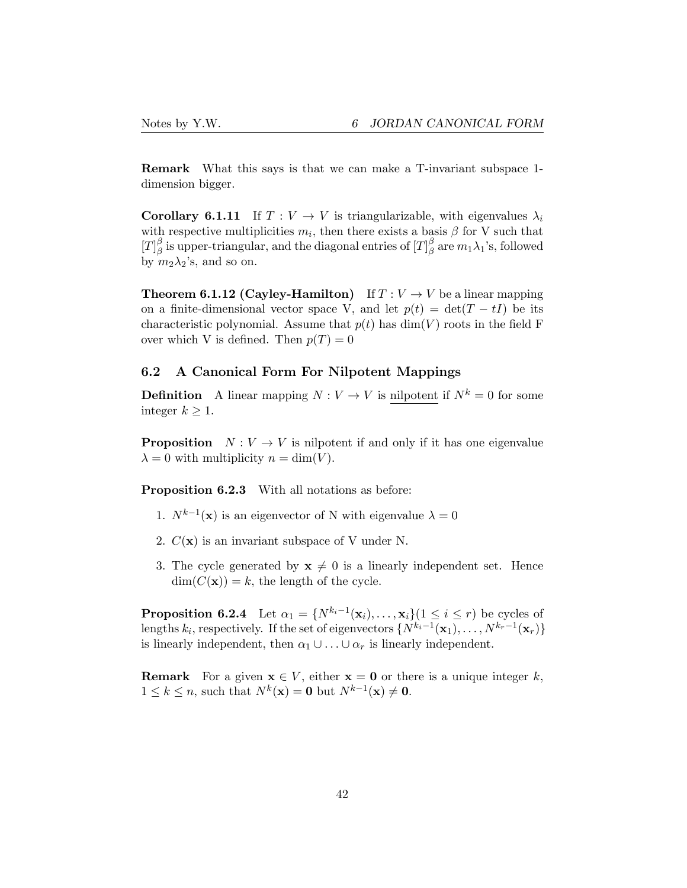Remark What this says is that we can make a T-invariant subspace 1 dimension bigger.

**Corollary 6.1.11** If  $T: V \to V$  is triangularizable, with eigenvalues  $\lambda_i$ with respective multiplicities  $m_i$ , then there exists a basis  $\beta$  for V such that  $[T]_{\beta}^{\beta}$  is upper-triangular, and the diagonal entries of  $[T]_{\beta}^{\beta}$  are  $m_1\lambda_1$ 's, followed by  $m_2\lambda_2$ 's, and so on.

**Theorem 6.1.12 (Cayley-Hamilton)** If  $T: V \to V$  be a linear mapping on a finite-dimensional vector space V, and let  $p(t) = det(T - tI)$  be its characteristic polynomial. Assume that  $p(t)$  has  $dim(V)$  roots in the field F over which V is defined. Then  $p(T) = 0$ 

## <span id="page-41-0"></span>6.2 A Canonical Form For Nilpotent Mappings

**Definition** A linear mapping  $N: V \to V$  is nilpotent if  $N^k = 0$  for some integer  $k \geq 1$ .

**Proposition**  $N: V \to V$  is nilpotent if and only if it has one eigenvalue  $\lambda = 0$  with multiplicity  $n = \dim(V)$ .

Proposition 6.2.3 With all notations as before:

- 1.  $N^{k-1}(\mathbf{x})$  is an eigenvector of N with eigenvalue  $\lambda = 0$
- 2.  $C(\mathbf{x})$  is an invariant subspace of V under N.
- 3. The cycle generated by  $x \neq 0$  is a linearly independent set. Hence  $\dim(C(\mathbf{x})) = k$ , the length of the cycle.

**Proposition 6.2.4** Let  $\alpha_1 = \{N^{k_i-1}(\mathbf{x}_i), \ldots, \mathbf{x}_i\}$  ( $1 \leq i \leq r$ ) be cycles of lengths  $k_i$ , respectively. If the set of eigenvectors  $\{N^{k_i-1}(\mathbf{x}_1), \ldots, N^{k_r-1}(\mathbf{x}_r)\}$ is linearly independent, then  $\alpha_1 \cup \ldots \cup \alpha_r$  is linearly independent.

**Remark** For a given  $x \in V$ , either  $x = 0$  or there is a unique integer k,  $1 \leq k \leq n$ , such that  $N^k(\mathbf{x}) = \mathbf{0}$  but  $N^{k-1}(\mathbf{x}) \neq \mathbf{0}$ .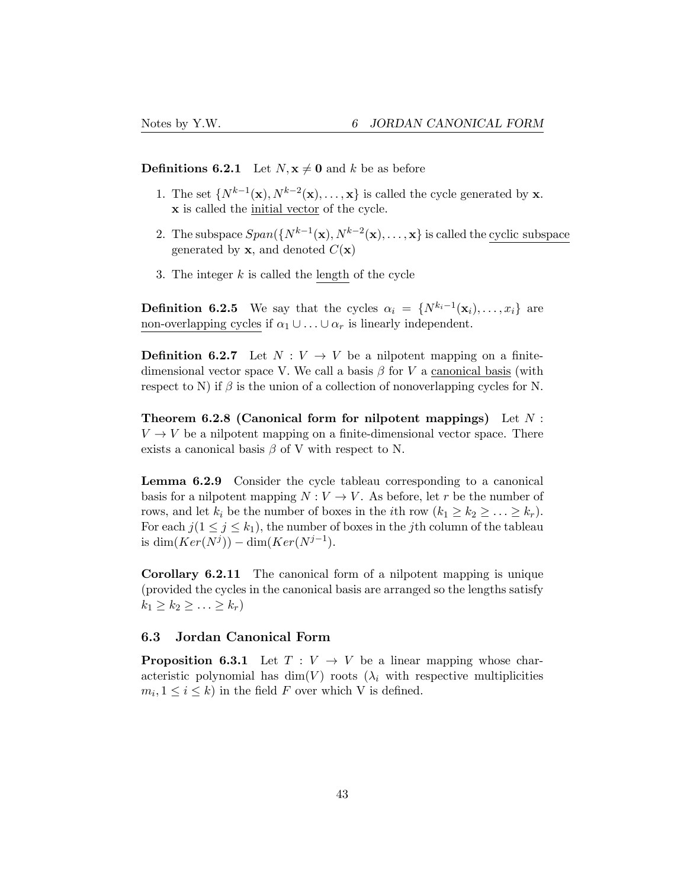**Definitions 6.2.1** Let  $N, x \neq 0$  and  $k$  be as before

- 1. The set  $\{N^{k-1}(\mathbf{x}), N^{k-2}(\mathbf{x}), \ldots, \mathbf{x}\}\)$  is called the cycle generated by **x**. x is called the initial vector of the cycle.
- 2. The subspace  $Span({N^{k-1}(\mathbf{x}), N^{k-2}(\mathbf{x}), \ldots, \mathbf{x}})$  is called the cyclic subspace generated by **x**, and denoted  $C(\mathbf{x})$
- 3. The integer *k* is called the length of the cycle

**Definition 6.2.5** We say that the cycles  $\alpha_i = \{N^{k_i-1}(\mathbf{x}_i), \ldots, x_i\}$  are non-overlapping cycles if  $\alpha_1 \cup \ldots \cup \alpha_r$  is linearly independent.

**Definition 6.2.7** Let  $N: V \to V$  be a nilpotent mapping on a finitedimensional vector space V. We call a basis  $\beta$  for V a canonical basis (with respect to N) if  $\beta$  is the union of a collection of nonoverlapping cycles for N.

Theorem 6.2.8 (Canonical form for nilpotent mappings) Let *N* :  $V \rightarrow V$  be a nilpotent mapping on a finite-dimensional vector space. There exists a canonical basis  $\beta$  of V with respect to N.

Lemma 6.2.9 Consider the cycle tableau corresponding to a canonical basis for a nilpotent mapping  $N: V \to V$ . As before, let *r* be the number of rows, and let  $k_i$  be the number of boxes in the *i*th row  $(k_1 \geq k_2 \geq \ldots \geq k_r)$ . For each  $j(1 \leq j \leq k_1)$ , the number of boxes in the *j*th column of the tableau is dim( $Ker(N^{j})$ ) – dim( $Ker(N^{j-1})$ .

Corollary 6.2.11 The canonical form of a nilpotent mapping is unique (provided the cycles in the canonical basis are arranged so the lengths satisfy  $k_1 \geq k_2 \geq \ldots \geq k_r$ 

### <span id="page-42-0"></span>6.3 Jordan Canonical Form

**Proposition 6.3.1** Let  $T: V \to V$  be a linear mapping whose characteristic polynomial has  $\dim(V)$  roots  $(\lambda_i)$  with respective multiplicities  $m_i, 1 \leq i \leq k$  in the field *F* over which *V* is defined.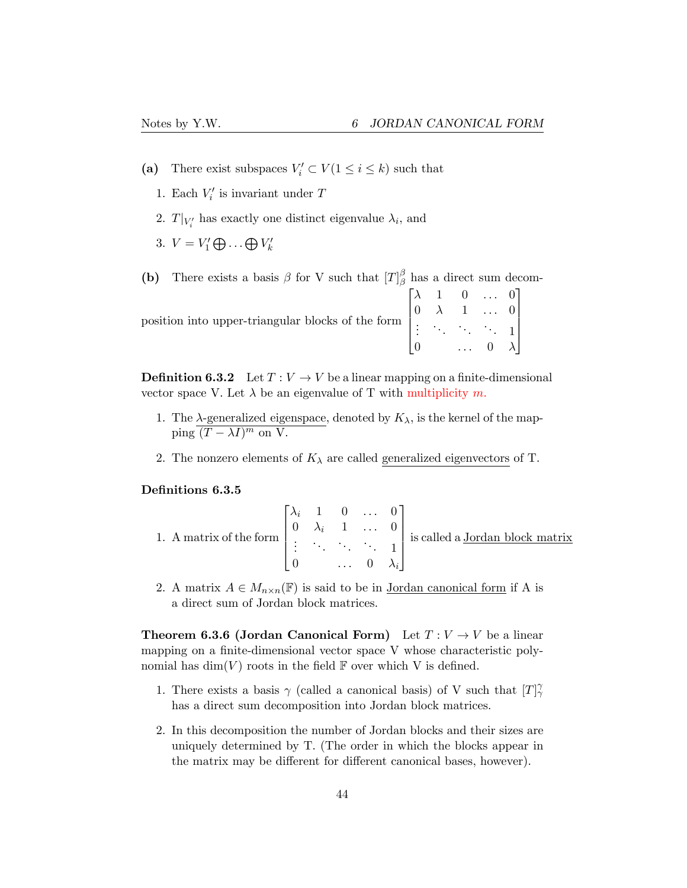- (a) There exist subspaces  $V_i' \subset V(1 \leq i \leq k)$  such that
	- 1. Each  $V_i'$  is invariant under  $T$
	- 2.  $T|_{V_i'}$  has exactly one distinct eigenvalue  $\lambda_i$ , and
	- 3.  $V = V'_1 \bigoplus \ldots \bigoplus V'_k$

(b) There exists a basis  $\beta$  for V such that  $[T]_{\beta}^{\beta}$  has a direct sum decom-

|                                                                                                                                                        |  | $\begin{bmatrix} \lambda & 1 & 0 & \dots & 0 \end{bmatrix}$ |  |  |
|--------------------------------------------------------------------------------------------------------------------------------------------------------|--|-------------------------------------------------------------|--|--|
|                                                                                                                                                        |  |                                                             |  |  |
| position into upper-triangular blocks of the form $\begin{bmatrix} 0 & \lambda & 1 & \dots & 0 \\ \vdots & \ddots & \ddots & \ddots & 1 \end{bmatrix}$ |  |                                                             |  |  |
|                                                                                                                                                        |  | $\ldots$ 0 $\lambda$                                        |  |  |

**Definition 6.3.2** Let  $T: V \to V$  be a linear mapping on a finite-dimensional vector space V. Let  $\lambda$  be an eigenvalue of T with multiplicity  $m$ .

- 1. The  $\lambda$ -generalized eigenspace, denoted by  $K_{\lambda}$ , is the kernel of the map- $\overline{\text{ping } (T - \lambda I)^m}$  on V.
- 2. The nonzero elements of  $K_{\lambda}$  are called generalized eigenvectors of T.

### Definitions 6.3.5

|  |  |                                                           | 1. A matrix of the form $\begin{bmatrix} \lambda_i & 1 & 0 & \dots & 0 \\ 0 & \lambda_i & 1 & \dots & 0 \\ \vdots & \vdots & \ddots & \vdots & \vdots \\ 0 & \lambda_i & 1 & \dots & 1 \end{bmatrix}$ is called a <u>Jordan block matrix</u> |
|--|--|-----------------------------------------------------------|----------------------------------------------------------------------------------------------------------------------------------------------------------------------------------------------------------------------------------------------|
|  |  | $\begin{bmatrix} 0 & \dots & 0 & \lambda_i \end{bmatrix}$ |                                                                                                                                                                                                                                              |

2. A matrix  $A \in M_{n \times n}(\mathbb{F})$  is said to be in <u>Jordan canonical form</u> if A is a direct sum of Jordan block matrices.

**Theorem 6.3.6 (Jordan Canonical Form)** Let  $T: V \to V$  be a linear mapping on a finite-dimensional vector space V whose characteristic polynomial has  $\dim(V)$  roots in the field  $\mathbb F$  over which V is defined.

- 1. There exists a basis  $\gamma$  (called a canonical basis) of V such that  $[T]$ <sup> $\gamma$ </sup> has a direct sum decomposition into Jordan block matrices.
- 2. In this decomposition the number of Jordan blocks and their sizes are uniquely determined by T. (The order in which the blocks appear in the matrix may be different for different canonical bases, however).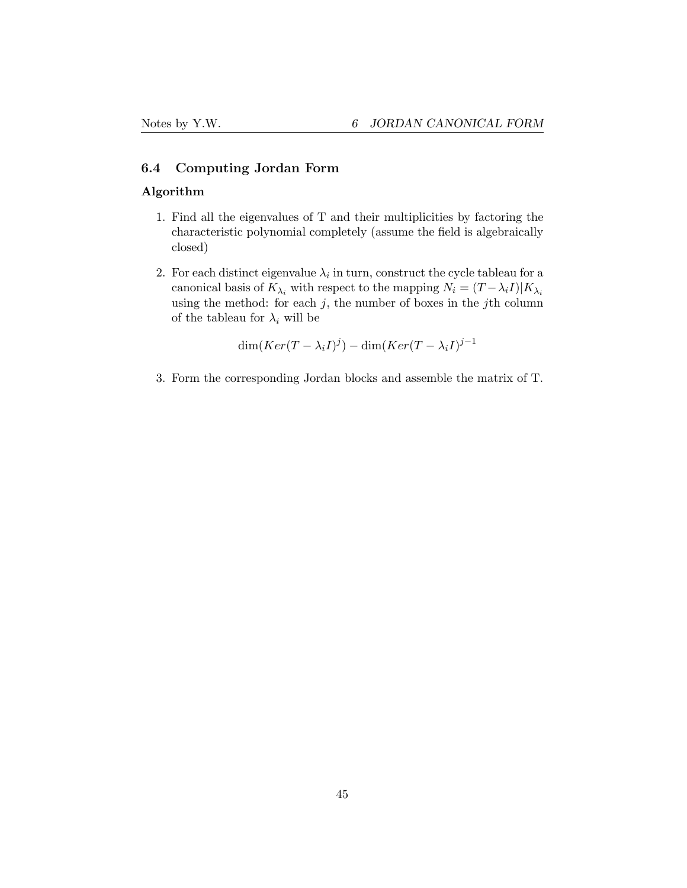### <span id="page-44-0"></span>6.4 Computing Jordan Form

### Algorithm

- 1. Find all the eigenvalues of T and their multiplicities by factoring the characteristic polynomial completely (assume the field is algebraically closed)
- 2. For each distinct eigenvalue  $\lambda_i$  in turn, construct the cycle tableau for a canonical basis of  $K_{\lambda_i}$  with respect to the mapping  $N_i = (T - \lambda_i I)|K_{\lambda_i}$ using the method: for each  $j$ , the number of boxes in the  $j$ th column of the tableau for  $\lambda_i$  will be

$$
\dim(Ker(T-\lambda_i I)^j) - \dim(Ker(T-\lambda_i I)^{j-1})
$$

3. Form the corresponding Jordan blocks and assemble the matrix of T.